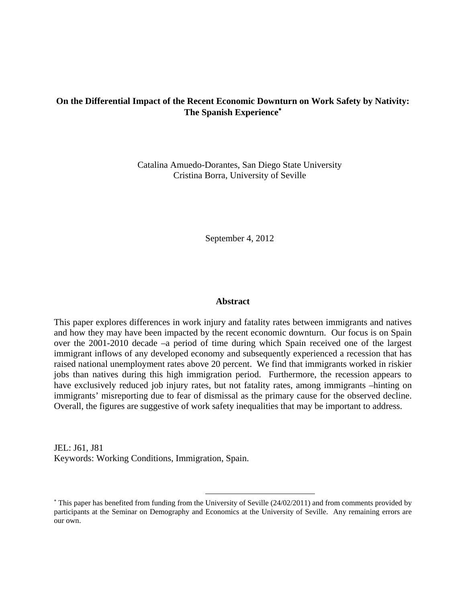# **On the Differential Impact of the Recent Economic Downturn on Work Safety by Nativity: The Spanish Experience**

Catalina Amuedo-Dorantes, San Diego State University Cristina Borra, University of Seville

September 4, 2012

#### **Abstract**

This paper explores differences in work injury and fatality rates between immigrants and natives and how they may have been impacted by the recent economic downturn. Our focus is on Spain over the 2001-2010 decade –a period of time during which Spain received one of the largest immigrant inflows of any developed economy and subsequently experienced a recession that has raised national unemployment rates above 20 percent. We find that immigrants worked in riskier jobs than natives during this high immigration period. Furthermore, the recession appears to have exclusively reduced job injury rates, but not fatality rates, among immigrants –hinting on immigrants' misreporting due to fear of dismissal as the primary cause for the observed decline. Overall, the figures are suggestive of work safety inequalities that may be important to address.

JEL: J61, J81 Keywords: Working Conditions, Immigration, Spain.

 $\overline{a}$ 

 This paper has benefited from funding from the University of Seville (24/02/2011) and from comments provided by participants at the Seminar on Demography and Economics at the University of Seville. Any remaining errors are our own.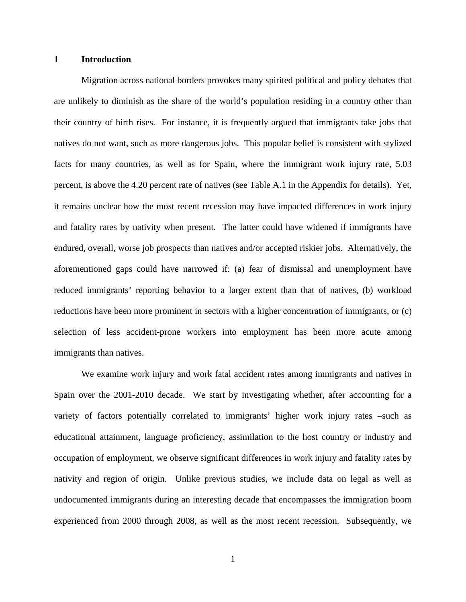### **1 Introduction**

Migration across national borders provokes many spirited political and policy debates that are unlikely to diminish as the share of the world's population residing in a country other than their country of birth rises. For instance, it is frequently argued that immigrants take jobs that natives do not want, such as more dangerous jobs. This popular belief is consistent with stylized facts for many countries, as well as for Spain, where the immigrant work injury rate, 5.03 percent, is above the 4.20 percent rate of natives (see Table A.1 in the Appendix for details). Yet, it remains unclear how the most recent recession may have impacted differences in work injury and fatality rates by nativity when present. The latter could have widened if immigrants have endured, overall, worse job prospects than natives and/or accepted riskier jobs. Alternatively, the aforementioned gaps could have narrowed if: (a) fear of dismissal and unemployment have reduced immigrants' reporting behavior to a larger extent than that of natives, (b) workload reductions have been more prominent in sectors with a higher concentration of immigrants, or (c) selection of less accident-prone workers into employment has been more acute among immigrants than natives.

We examine work injury and work fatal accident rates among immigrants and natives in Spain over the 2001-2010 decade. We start by investigating whether, after accounting for a variety of factors potentially correlated to immigrants' higher work injury rates –such as educational attainment, language proficiency, assimilation to the host country or industry and occupation of employment, we observe significant differences in work injury and fatality rates by nativity and region of origin. Unlike previous studies, we include data on legal as well as undocumented immigrants during an interesting decade that encompasses the immigration boom experienced from 2000 through 2008, as well as the most recent recession. Subsequently, we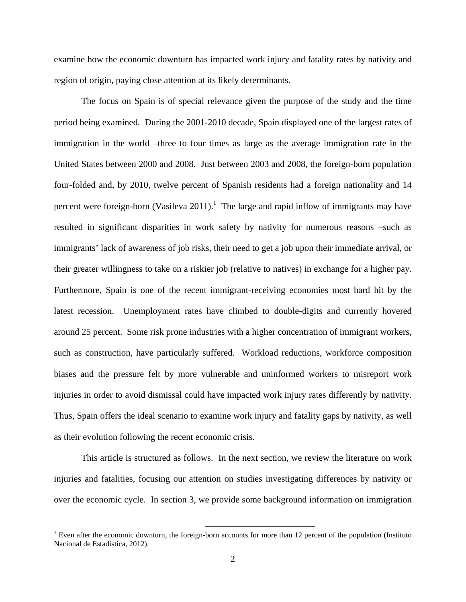examine how the economic downturn has impacted work injury and fatality rates by nativity and region of origin, paying close attention at its likely determinants.

The focus on Spain is of special relevance given the purpose of the study and the time period being examined. During the 2001-2010 decade, Spain displayed one of the largest rates of immigration in the world –three to four times as large as the average immigration rate in the United States between 2000 and 2008. Just between 2003 and 2008, the foreign-born population four-folded and, by 2010, twelve percent of Spanish residents had a foreign nationality and 14 percent were foreign-born (Vasileva 2011).<sup>1</sup> The large and rapid inflow of immigrants may have resulted in significant disparities in work safety by nativity for numerous reasons –such as immigrants' lack of awareness of job risks, their need to get a job upon their immediate arrival, or their greater willingness to take on a riskier job (relative to natives) in exchange for a higher pay. Furthermore, Spain is one of the recent immigrant-receiving economies most hard hit by the latest recession. Unemployment rates have climbed to double-digits and currently hovered around 25 percent. Some risk prone industries with a higher concentration of immigrant workers, such as construction, have particularly suffered. Workload reductions, workforce composition biases and the pressure felt by more vulnerable and uninformed workers to misreport work injuries in order to avoid dismissal could have impacted work injury rates differently by nativity. Thus, Spain offers the ideal scenario to examine work injury and fatality gaps by nativity, as well as their evolution following the recent economic crisis.

This article is structured as follows. In the next section, we review the literature on work injuries and fatalities, focusing our attention on studies investigating differences by nativity or over the economic cycle. In section 3, we provide some background information on immigration

<sup>&</sup>lt;sup>1</sup> Even after the economic downturn, the foreign-born accounts for more than 12 percent of the population (Instituto Nacional de Estadística, 2012).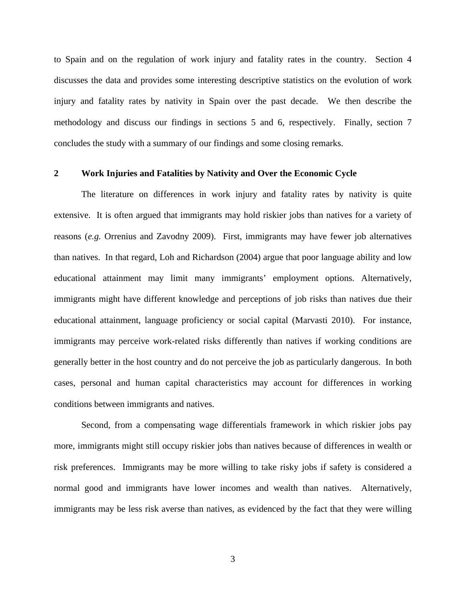to Spain and on the regulation of work injury and fatality rates in the country. Section 4 discusses the data and provides some interesting descriptive statistics on the evolution of work injury and fatality rates by nativity in Spain over the past decade. We then describe the methodology and discuss our findings in sections 5 and 6, respectively. Finally, section 7 concludes the study with a summary of our findings and some closing remarks.

## **2 Work Injuries and Fatalities by Nativity and Over the Economic Cycle**

The literature on differences in work injury and fatality rates by nativity is quite extensive. It is often argued that immigrants may hold riskier jobs than natives for a variety of reasons (*e.g.* Orrenius and Zavodny 2009). First, immigrants may have fewer job alternatives than natives. In that regard, Loh and Richardson (2004) argue that poor language ability and low educational attainment may limit many immigrants' employment options. Alternatively, immigrants might have different knowledge and perceptions of job risks than natives due their educational attainment, language proficiency or social capital (Marvasti 2010). For instance, immigrants may perceive work-related risks differently than natives if working conditions are generally better in the host country and do not perceive the job as particularly dangerous. In both cases, personal and human capital characteristics may account for differences in working conditions between immigrants and natives.

Second, from a compensating wage differentials framework in which riskier jobs pay more, immigrants might still occupy riskier jobs than natives because of differences in wealth or risk preferences. Immigrants may be more willing to take risky jobs if safety is considered a normal good and immigrants have lower incomes and wealth than natives. Alternatively, immigrants may be less risk averse than natives, as evidenced by the fact that they were willing

3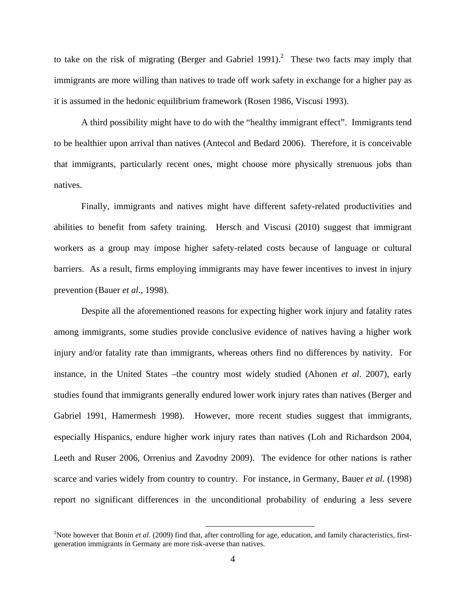to take on the risk of migrating (Berger and Gabriel 1991).<sup>2</sup> These two facts may imply that immigrants are more willing than natives to trade off work safety in exchange for a higher pay as it is assumed in the hedonic equilibrium framework (Rosen 1986, Viscusi 1993).

A third possibility might have to do with the "healthy immigrant effect". Immigrants tend to be healthier upon arrival than natives (Antecol and Bedard 2006). Therefore, it is conceivable that immigrants, particularly recent ones, might choose more physically strenuous jobs than natives.

Finally, immigrants and natives might have different safety-related productivities and abilities to benefit from safety training. Hersch and Viscusi (2010) suggest that immigrant workers as a group may impose higher safety-related costs because of language or cultural barriers. As a result, firms employing immigrants may have fewer incentives to invest in injury prevention (Bauer *et al*., 1998).

Despite all the aforementioned reasons for expecting higher work injury and fatality rates among immigrants, some studies provide conclusive evidence of natives having a higher work injury and/or fatality rate than immigrants, whereas others find no differences by nativity. For instance, in the United States –the country most widely studied (Ahonen *et al*. 2007), early studies found that immigrants generally endured lower work injury rates than natives (Berger and Gabriel 1991, Hamermesh 1998). However, more recent studies suggest that immigrants, especially Hispanics, endure higher work injury rates than natives (Loh and Richardson 2004, Leeth and Ruser 2006, Orrenius and Zavodny 2009). The evidence for other nations is rather scarce and varies widely from country to country. For instance, in Germany, Bauer *et al*. (1998) report no significant differences in the unconditional probability of enduring a less severe

<sup>&</sup>lt;sup>2</sup>Note however that Bonin *et al.* (2009) find that, after controlling for age, education, and family characteristics, firstgeneration immigrants in Germany are more risk-averse than natives.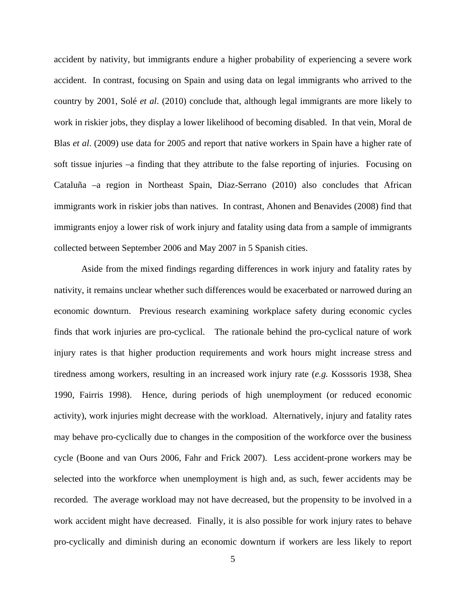accident by nativity, but immigrants endure a higher probability of experiencing a severe work accident. In contrast, focusing on Spain and using data on legal immigrants who arrived to the country by 2001, Solé *et al*. (2010) conclude that, although legal immigrants are more likely to work in riskier jobs, they display a lower likelihood of becoming disabled. In that vein, Moral de Blas *et al*. (2009) use data for 2005 and report that native workers in Spain have a higher rate of soft tissue injuries –a finding that they attribute to the false reporting of injuries. Focusing on Cataluña –a region in Northeast Spain, Diaz-Serrano (2010) also concludes that African immigrants work in riskier jobs than natives. In contrast, Ahonen and Benavides (2008) find that immigrants enjoy a lower risk of work injury and fatality using data from a sample of immigrants collected between September 2006 and May 2007 in 5 Spanish cities.

Aside from the mixed findings regarding differences in work injury and fatality rates by nativity, it remains unclear whether such differences would be exacerbated or narrowed during an economic downturn. Previous research examining workplace safety during economic cycles finds that work injuries are pro-cyclical. The rationale behind the pro-cyclical nature of work injury rates is that higher production requirements and work hours might increase stress and tiredness among workers, resulting in an increased work injury rate (*e.g.* Kosssoris 1938, Shea 1990, Fairris 1998). Hence, during periods of high unemployment (or reduced economic activity), work injuries might decrease with the workload. Alternatively, injury and fatality rates may behave pro-cyclically due to changes in the composition of the workforce over the business cycle (Boone and van Ours 2006, Fahr and Frick 2007). Less accident-prone workers may be selected into the workforce when unemployment is high and, as such, fewer accidents may be recorded. The average workload may not have decreased, but the propensity to be involved in a work accident might have decreased. Finally, it is also possible for work injury rates to behave pro-cyclically and diminish during an economic downturn if workers are less likely to report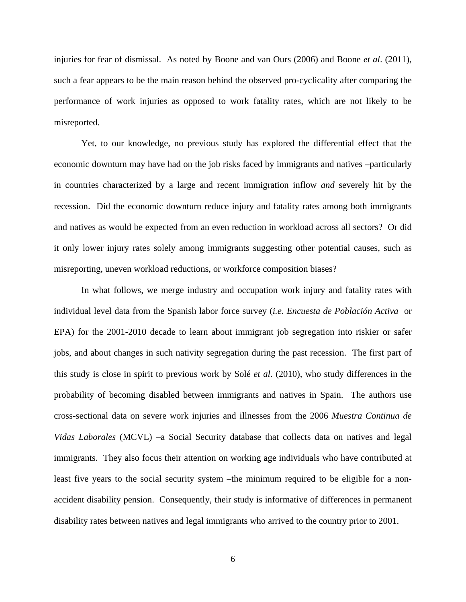injuries for fear of dismissal. As noted by Boone and van Ours (2006) and Boone *et al*. (2011), such a fear appears to be the main reason behind the observed pro-cyclicality after comparing the performance of work injuries as opposed to work fatality rates, which are not likely to be misreported.

Yet, to our knowledge, no previous study has explored the differential effect that the economic downturn may have had on the job risks faced by immigrants and natives –particularly in countries characterized by a large and recent immigration inflow *and* severely hit by the recession. Did the economic downturn reduce injury and fatality rates among both immigrants and natives as would be expected from an even reduction in workload across all sectors? Or did it only lower injury rates solely among immigrants suggesting other potential causes, such as misreporting, uneven workload reductions, or workforce composition biases?

In what follows, we merge industry and occupation work injury and fatality rates with individual level data from the Spanish labor force survey (*i.e. Encuesta de Población Activa* or EPA) for the 2001-2010 decade to learn about immigrant job segregation into riskier or safer jobs, and about changes in such nativity segregation during the past recession. The first part of this study is close in spirit to previous work by Solé *et al*. (2010), who study differences in the probability of becoming disabled between immigrants and natives in Spain. The authors use cross-sectional data on severe work injuries and illnesses from the 2006 *Muestra Continua de Vidas Laborales* (MCVL) –a Social Security database that collects data on natives and legal immigrants. They also focus their attention on working age individuals who have contributed at least five years to the social security system –the minimum required to be eligible for a nonaccident disability pension. Consequently, their study is informative of differences in permanent disability rates between natives and legal immigrants who arrived to the country prior to 2001.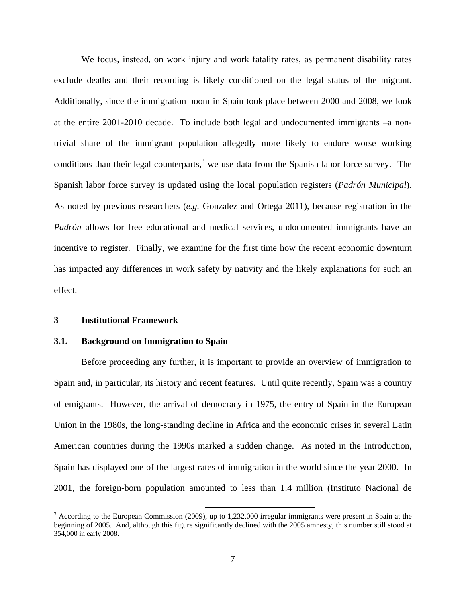We focus, instead, on work injury and work fatality rates, as permanent disability rates exclude deaths and their recording is likely conditioned on the legal status of the migrant. Additionally, since the immigration boom in Spain took place between 2000 and 2008, we look at the entire 2001-2010 decade. To include both legal and undocumented immigrants –a nontrivial share of the immigrant population allegedly more likely to endure worse working conditions than their legal counterparts, $3$  we use data from the Spanish labor force survey. The Spanish labor force survey is updated using the local population registers (*Padrón Municipal*). As noted by previous researchers (*e.g.* Gonzalez and Ortega 2011), because registration in the *Padrón* allows for free educational and medical services, undocumented immigrants have an incentive to register. Finally, we examine for the first time how the recent economic downturn has impacted any differences in work safety by nativity and the likely explanations for such an effect.

#### **3 Institutional Framework**

#### **3.1. Background on Immigration to Spain**

 Before proceeding any further, it is important to provide an overview of immigration to Spain and, in particular, its history and recent features. Until quite recently, Spain was a country of emigrants. However, the arrival of democracy in 1975, the entry of Spain in the European Union in the 1980s, the long-standing decline in Africa and the economic crises in several Latin American countries during the 1990s marked a sudden change. As noted in the Introduction, Spain has displayed one of the largest rates of immigration in the world since the year 2000. In 2001, the foreign-born population amounted to less than 1.4 million (Instituto Nacional de

<sup>&</sup>lt;sup>3</sup> According to the European Commission (2009), up to 1,232,000 irregular immigrants were present in Spain at the beginning of 2005. And, although this figure significantly declined with the 2005 amnesty, this number still stood at 354,000 in early 2008.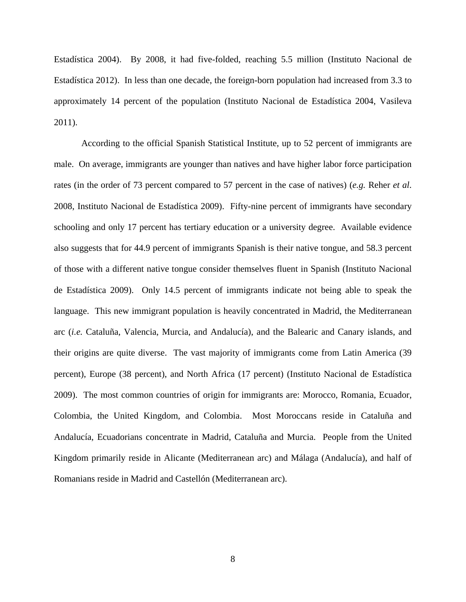Estadística 2004). By 2008, it had five-folded, reaching 5.5 million (Instituto Nacional de Estadística 2012). In less than one decade, the foreign-born population had increased from 3.3 to approximately 14 percent of the population (Instituto Nacional de Estadística 2004, Vasileva 2011).

According to the official Spanish Statistical Institute, up to 52 percent of immigrants are male. On average, immigrants are younger than natives and have higher labor force participation rates (in the order of 73 percent compared to 57 percent in the case of natives) (*e.g.* Reher *et al*. 2008, Instituto Nacional de Estadística 2009). Fifty-nine percent of immigrants have secondary schooling and only 17 percent has tertiary education or a university degree. Available evidence also suggests that for 44.9 percent of immigrants Spanish is their native tongue, and 58.3 percent of those with a different native tongue consider themselves fluent in Spanish (Instituto Nacional de Estadística 2009). Only 14.5 percent of immigrants indicate not being able to speak the language. This new immigrant population is heavily concentrated in Madrid, the Mediterranean arc (*i.e.* Cataluña, Valencia, Murcia, and Andalucía), and the Balearic and Canary islands, and their origins are quite diverse. The vast majority of immigrants come from Latin America (39 percent), Europe (38 percent), and North Africa (17 percent) (Instituto Nacional de Estadística 2009). The most common countries of origin for immigrants are: Morocco, Romania, Ecuador, Colombia, the United Kingdom, and Colombia. Most Moroccans reside in Cataluña and Andalucía, Ecuadorians concentrate in Madrid, Cataluña and Murcia. People from the United Kingdom primarily reside in Alicante (Mediterranean arc) and Málaga (Andalucía), and half of Romanians reside in Madrid and Castellón (Mediterranean arc).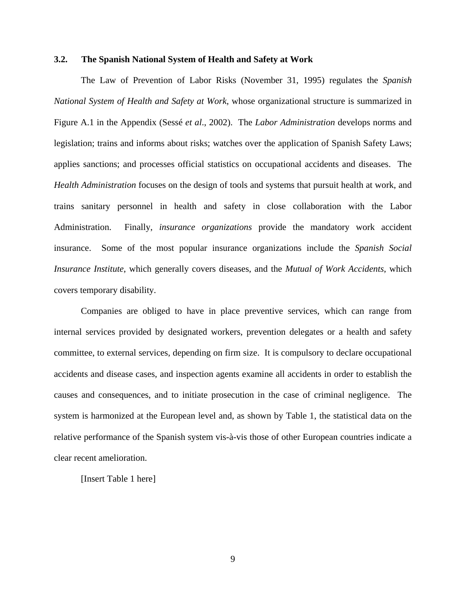#### **3.2. The Spanish National System of Health and Safety at Work**

The Law of Prevention of Labor Risks (November 31, 1995) regulates the *Spanish National System of Health and Safety at Work*, whose organizational structure is summarized in Figure A.1 in the Appendix (Sessé *et al*., 2002). The *Labor Administration* develops norms and legislation; trains and informs about risks; watches over the application of Spanish Safety Laws; applies sanctions; and processes official statistics on occupational accidents and diseases. The *Health Administration* focuses on the design of tools and systems that pursuit health at work, and trains sanitary personnel in health and safety in close collaboration with the Labor Administration. Finally, *insurance organizations* provide the mandatory work accident insurance. Some of the most popular insurance organizations include the *Spanish Social Insurance Institute*, which generally covers diseases, and the *Mutual of Work Accidents*, which covers temporary disability.

Companies are obliged to have in place preventive services, which can range from internal services provided by designated workers, prevention delegates or a health and safety committee, to external services, depending on firm size. It is compulsory to declare occupational accidents and disease cases, and inspection agents examine all accidents in order to establish the causes and consequences, and to initiate prosecution in the case of criminal negligence. The system is harmonized at the European level and, as shown by Table 1, the statistical data on the relative performance of the Spanish system vis-à-vis those of other European countries indicate a clear recent amelioration.

[Insert Table 1 here]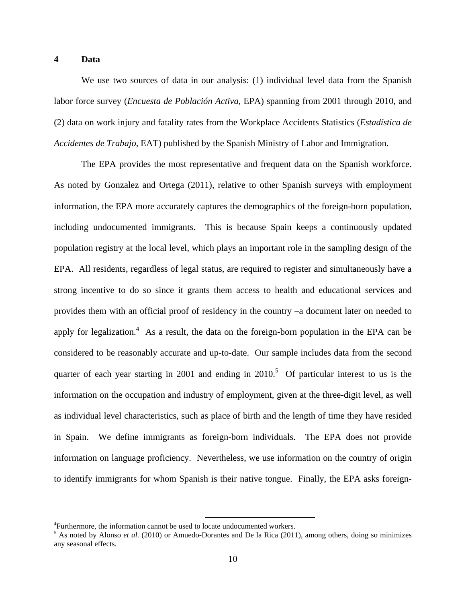#### **4 Data**

We use two sources of data in our analysis: (1) individual level data from the Spanish labor force survey (*Encuesta de Población Activa*, EPA) spanning from 2001 through 2010, and (2) data on work injury and fatality rates from the Workplace Accidents Statistics (*Estadística de Accidentes de Trabajo*, EAT) published by the Spanish Ministry of Labor and Immigration.

The EPA provides the most representative and frequent data on the Spanish workforce. As noted by Gonzalez and Ortega (2011), relative to other Spanish surveys with employment information, the EPA more accurately captures the demographics of the foreign-born population, including undocumented immigrants. This is because Spain keeps a continuously updated population registry at the local level, which plays an important role in the sampling design of the EPA. All residents, regardless of legal status, are required to register and simultaneously have a strong incentive to do so since it grants them access to health and educational services and provides them with an official proof of residency in the country –a document later on needed to apply for legalization.<sup>4</sup> As a result, the data on the foreign-born population in the EPA can be considered to be reasonably accurate and up-to-date. Our sample includes data from the second quarter of each year starting in 2001 and ending in  $2010$ <sup>5</sup>. Of particular interest to us is the information on the occupation and industry of employment, given at the three-digit level, as well as individual level characteristics, such as place of birth and the length of time they have resided in Spain. We define immigrants as foreign-born individuals. The EPA does not provide information on language proficiency. Nevertheless, we use information on the country of origin to identify immigrants for whom Spanish is their native tongue. Finally, the EPA asks foreign-

 $4$ Eurthermore, the information connot be used to lo <sup>4</sup> Furthermore, the information cannot be used to locate undocumented workers.<br> $\frac{5}{2}$  As noted by Alongo *et al.* (2010) or Amuedo Derepties and De la Bige (2011)

<sup>&</sup>lt;sup>5</sup> As noted by Alonso *et al.* (2010) or Amuedo-Dorantes and De la Rica (2011), among others, doing so minimizes any seasonal effects.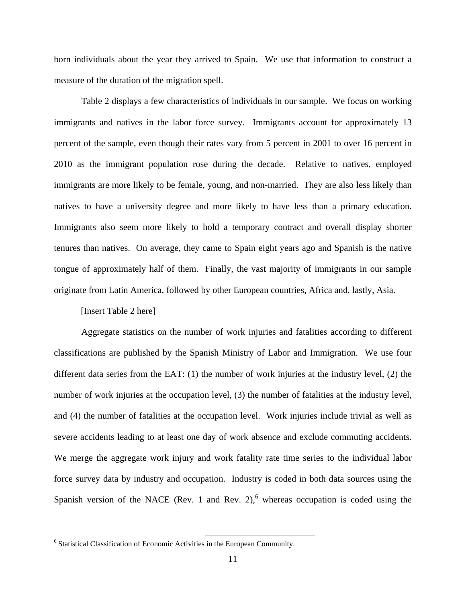born individuals about the year they arrived to Spain. We use that information to construct a measure of the duration of the migration spell.

Table 2 displays a few characteristics of individuals in our sample. We focus on working immigrants and natives in the labor force survey. Immigrants account for approximately 13 percent of the sample, even though their rates vary from 5 percent in 2001 to over 16 percent in 2010 as the immigrant population rose during the decade. Relative to natives, employed immigrants are more likely to be female, young, and non-married. They are also less likely than natives to have a university degree and more likely to have less than a primary education. Immigrants also seem more likely to hold a temporary contract and overall display shorter tenures than natives. On average, they came to Spain eight years ago and Spanish is the native tongue of approximately half of them. Finally, the vast majority of immigrants in our sample originate from Latin America, followed by other European countries, Africa and, lastly, Asia.

#### [Insert Table 2 here]

Aggregate statistics on the number of work injuries and fatalities according to different classifications are published by the Spanish Ministry of Labor and Immigration. We use four different data series from the EAT: (1) the number of work injuries at the industry level, (2) the number of work injuries at the occupation level, (3) the number of fatalities at the industry level, and (4) the number of fatalities at the occupation level. Work injuries include trivial as well as severe accidents leading to at least one day of work absence and exclude commuting accidents. We merge the aggregate work injury and work fatality rate time series to the individual labor force survey data by industry and occupation. Industry is coded in both data sources using the Spanish version of the NACE (Rev. 1 and Rev. 2), $<sup>6</sup>$  whereas occupation is coded using the</sup>

 <sup>6</sup> Statistical Classification of Economic Activities in the European Community.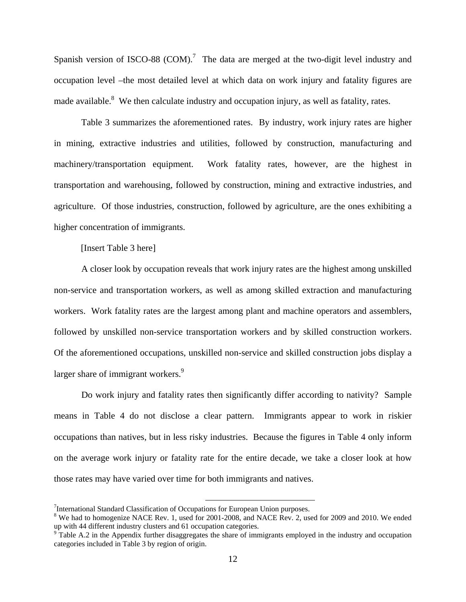Spanish version of ISCO-88 (COM).<sup>7</sup> The data are merged at the two-digit level industry and occupation level –the most detailed level at which data on work injury and fatality figures are made available.<sup>8</sup> We then calculate industry and occupation injury, as well as fatality, rates.

Table 3 summarizes the aforementioned rates. By industry, work injury rates are higher in mining, extractive industries and utilities, followed by construction, manufacturing and machinery/transportation equipment. Work fatality rates, however, are the highest in transportation and warehousing, followed by construction, mining and extractive industries, and agriculture. Of those industries, construction, followed by agriculture, are the ones exhibiting a higher concentration of immigrants.

[Insert Table 3 here]

A closer look by occupation reveals that work injury rates are the highest among unskilled non-service and transportation workers, as well as among skilled extraction and manufacturing workers. Work fatality rates are the largest among plant and machine operators and assemblers, followed by unskilled non-service transportation workers and by skilled construction workers. Of the aforementioned occupations, unskilled non-service and skilled construction jobs display a larger share of immigrant workers.<sup>9</sup>

Do work injury and fatality rates then significantly differ according to nativity? Sample means in Table 4 do not disclose a clear pattern. Immigrants appear to work in riskier occupations than natives, but in less risky industries. Because the figures in Table 4 only inform on the average work injury or fatality rate for the entire decade, we take a closer look at how those rates may have varied over time for both immigrants and natives.

 <sup>7</sup> International Standard Classification of Occupations for European Union purposes.

<sup>&</sup>lt;sup>8</sup> We had to homogenize NACE Rev. 1, used for 2001-2008, and NACE Rev. 2, used for 2009 and 2010. We ended up with 44 different industry clusters and 61 occupation categories.

 $9$ <sup>o</sup> Table A.2 in the Appendix further disaggregates the share of immigrants employed in the industry and occupation categories included in Table 3 by region of origin.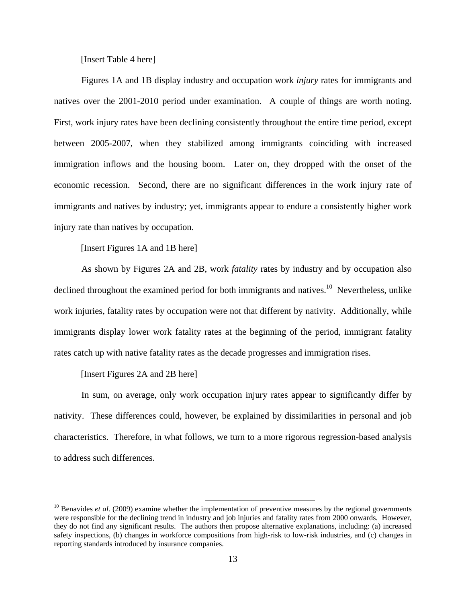[Insert Table 4 here]

Figures 1A and 1B display industry and occupation work *injury* rates for immigrants and natives over the 2001-2010 period under examination. A couple of things are worth noting. First, work injury rates have been declining consistently throughout the entire time period, except between 2005-2007, when they stabilized among immigrants coinciding with increased immigration inflows and the housing boom. Later on, they dropped with the onset of the economic recession. Second, there are no significant differences in the work injury rate of immigrants and natives by industry; yet, immigrants appear to endure a consistently higher work injury rate than natives by occupation.

[Insert Figures 1A and 1B here]

As shown by Figures 2A and 2B, work *fatality* rates by industry and by occupation also declined throughout the examined period for both immigrants and natives.<sup>10</sup> Nevertheless, unlike work injuries, fatality rates by occupation were not that different by nativity. Additionally, while immigrants display lower work fatality rates at the beginning of the period, immigrant fatality rates catch up with native fatality rates as the decade progresses and immigration rises.

[Insert Figures 2A and 2B here]

In sum, on average, only work occupation injury rates appear to significantly differ by nativity. These differences could, however, be explained by dissimilarities in personal and job characteristics. Therefore, in what follows, we turn to a more rigorous regression-based analysis to address such differences.

<sup>&</sup>lt;sup>10</sup> Benavides *et al.* (2009) examine whether the implementation of preventive measures by the regional governments were responsible for the declining trend in industry and job injuries and fatality rates from 2000 onwards. However, they do not find any significant results. The authors then propose alternative explanations, including: (a) increased safety inspections, (b) changes in workforce compositions from high-risk to low-risk industries, and (c) changes in reporting standards introduced by insurance companies.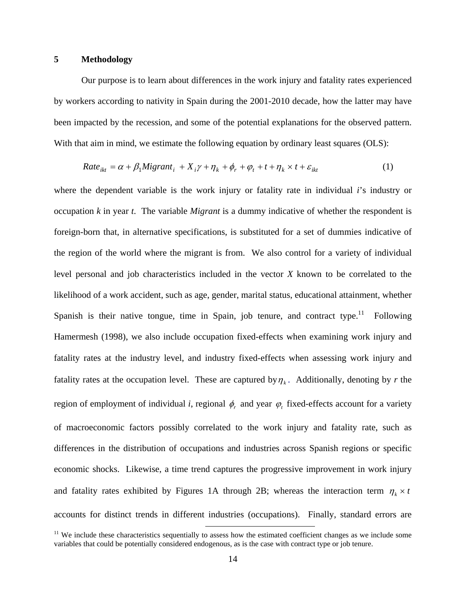### **5 Methodology**

Our purpose is to learn about differences in the work injury and fatality rates experienced by workers according to nativity in Spain during the 2001-2010 decade, how the latter may have been impacted by the recession, and some of the potential explanations for the observed pattern. With that aim in mind, we estimate the following equation by ordinary least squares (OLS):

$$
Rate_{ikt} = \alpha + \beta_1 Migrant_i + X_i \gamma + \eta_k + \phi_r + \varphi_t + t + \eta_k \times t + \varepsilon_{ikt}
$$
 (1)

where the dependent variable is the work injury or fatality rate in individual *i*'s industry or occupation *k* in year *t*. The variable *Migrant* is a dummy indicative of whether the respondent is foreign-born that, in alternative specifications, is substituted for a set of dummies indicative of the region of the world where the migrant is from. We also control for a variety of individual level personal and job characteristics included in the vector *X* known to be correlated to the likelihood of a work accident, such as age, gender, marital status, educational attainment, whether Spanish is their native tongue, time in Spain, job tenure, and contract type.<sup>11</sup> Following Hamermesh (1998), we also include occupation fixed-effects when examining work injury and fatality rates at the industry level, and industry fixed-effects when assessing work injury and fatality rates at the occupation level. These are captured by  $\eta_k$ . Additionally, denoting by *r* the region of employment of individual *i*, regional  $\phi_r$  and year  $\phi_t$  fixed-effects account for a variety of macroeconomic factors possibly correlated to the work injury and fatality rate, such as differences in the distribution of occupations and industries across Spanish regions or specific economic shocks. Likewise, a time trend captures the progressive improvement in work injury and fatality rates exhibited by Figures 1A through 2B; whereas the interaction term  $\eta_k \times t$ accounts for distinct trends in different industries (occupations). Finally, standard errors are

 $11$  We include these characteristics sequentially to assess how the estimated coefficient changes as we include some variables that could be potentially considered endogenous, as is the case with contract type or job tenure.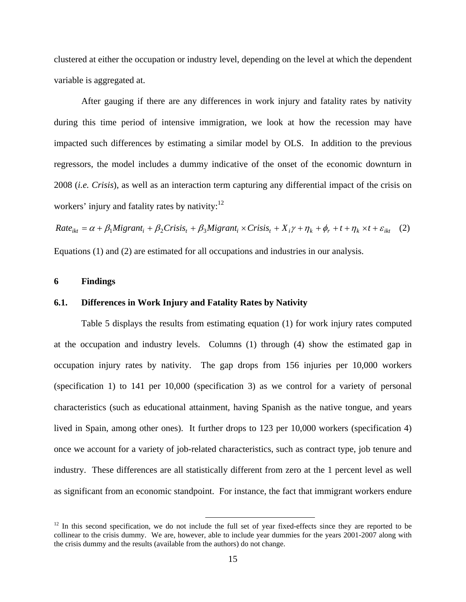clustered at either the occupation or industry level, depending on the level at which the dependent variable is aggregated at.

After gauging if there are any differences in work injury and fatality rates by nativity during this time period of intensive immigration, we look at how the recession may have impacted such differences by estimating a similar model by OLS. In addition to the previous regressors, the model includes a dummy indicative of the onset of the economic downturn in 2008 (*i.e. Crisis*), as well as an interaction term capturing any differential impact of the crisis on workers' injury and fatality rates by nativity: $12$ 

 $Rate_{ikt} = \alpha + \beta_1 Migrant_i + \beta_2 Crisis_t + \beta_3 Migrant_i \times Crisis_t + X_i \gamma + \eta_k + \phi_r + t + \eta_k \times t + \varepsilon_{ikt}$  (2) Equations (1) and (2) are estimated for all occupations and industries in our analysis.

### **6 Findings**

## **6.1. Differences in Work Injury and Fatality Rates by Nativity**

Table 5 displays the results from estimating equation (1) for work injury rates computed at the occupation and industry levels. Columns (1) through (4) show the estimated gap in occupation injury rates by nativity. The gap drops from 156 injuries per 10,000 workers (specification 1) to 141 per 10,000 (specification 3) as we control for a variety of personal characteristics (such as educational attainment, having Spanish as the native tongue, and years lived in Spain, among other ones). It further drops to 123 per 10,000 workers (specification 4) once we account for a variety of job-related characteristics, such as contract type, job tenure and industry. These differences are all statistically different from zero at the 1 percent level as well as significant from an economic standpoint. For instance, the fact that immigrant workers endure

 $12$  In this second specification, we do not include the full set of year fixed-effects since they are reported to be collinear to the crisis dummy. We are, however, able to include year dummies for the years 2001-2007 along with the crisis dummy and the results (available from the authors) do not change.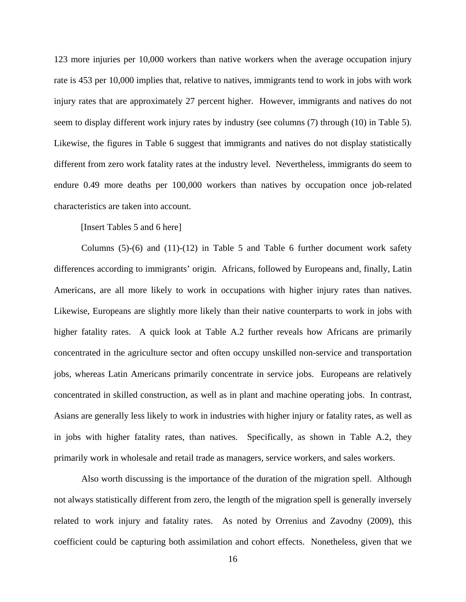123 more injuries per 10,000 workers than native workers when the average occupation injury rate is 453 per 10,000 implies that, relative to natives, immigrants tend to work in jobs with work injury rates that are approximately 27 percent higher. However, immigrants and natives do not seem to display different work injury rates by industry (see columns (7) through (10) in Table 5). Likewise, the figures in Table 6 suggest that immigrants and natives do not display statistically different from zero work fatality rates at the industry level. Nevertheless, immigrants do seem to endure 0.49 more deaths per 100,000 workers than natives by occupation once job-related characteristics are taken into account.

## [Insert Tables 5 and 6 here]

Columns  $(5)-(6)$  and  $(11)-(12)$  in Table 5 and Table 6 further document work safety differences according to immigrants' origin. Africans, followed by Europeans and, finally, Latin Americans, are all more likely to work in occupations with higher injury rates than natives. Likewise, Europeans are slightly more likely than their native counterparts to work in jobs with higher fatality rates. A quick look at Table A.2 further reveals how Africans are primarily concentrated in the agriculture sector and often occupy unskilled non-service and transportation jobs, whereas Latin Americans primarily concentrate in service jobs. Europeans are relatively concentrated in skilled construction, as well as in plant and machine operating jobs. In contrast, Asians are generally less likely to work in industries with higher injury or fatality rates, as well as in jobs with higher fatality rates, than natives. Specifically, as shown in Table A.2, they primarily work in wholesale and retail trade as managers, service workers, and sales workers.

Also worth discussing is the importance of the duration of the migration spell. Although not always statistically different from zero, the length of the migration spell is generally inversely related to work injury and fatality rates. As noted by Orrenius and Zavodny (2009), this coefficient could be capturing both assimilation and cohort effects. Nonetheless, given that we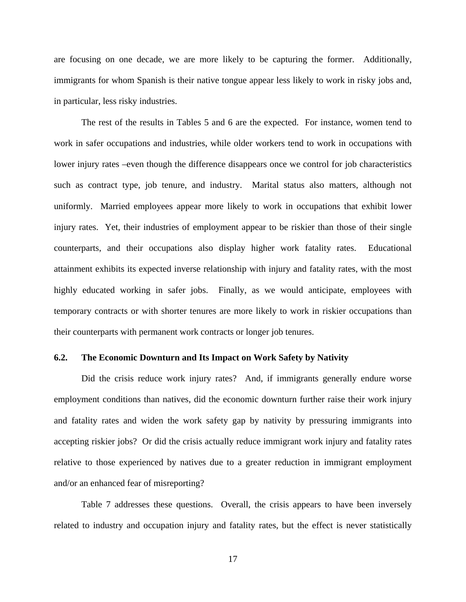are focusing on one decade, we are more likely to be capturing the former. Additionally, immigrants for whom Spanish is their native tongue appear less likely to work in risky jobs and, in particular, less risky industries.

The rest of the results in Tables 5 and 6 are the expected. For instance, women tend to work in safer occupations and industries, while older workers tend to work in occupations with lower injury rates –even though the difference disappears once we control for job characteristics such as contract type, job tenure, and industry. Marital status also matters, although not uniformly. Married employees appear more likely to work in occupations that exhibit lower injury rates. Yet, their industries of employment appear to be riskier than those of their single counterparts, and their occupations also display higher work fatality rates. Educational attainment exhibits its expected inverse relationship with injury and fatality rates, with the most highly educated working in safer jobs. Finally, as we would anticipate, employees with temporary contracts or with shorter tenures are more likely to work in riskier occupations than their counterparts with permanent work contracts or longer job tenures.

#### **6.2. The Economic Downturn and Its Impact on Work Safety by Nativity**

Did the crisis reduce work injury rates? And, if immigrants generally endure worse employment conditions than natives, did the economic downturn further raise their work injury and fatality rates and widen the work safety gap by nativity by pressuring immigrants into accepting riskier jobs? Or did the crisis actually reduce immigrant work injury and fatality rates relative to those experienced by natives due to a greater reduction in immigrant employment and/or an enhanced fear of misreporting?

Table 7 addresses these questions. Overall, the crisis appears to have been inversely related to industry and occupation injury and fatality rates, but the effect is never statistically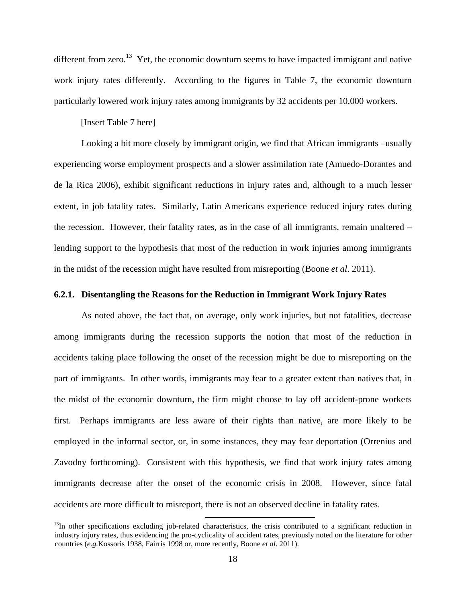different from zero.<sup>13</sup> Yet, the economic downturn seems to have impacted immigrant and native work injury rates differently. According to the figures in Table 7, the economic downturn particularly lowered work injury rates among immigrants by 32 accidents per 10,000 workers.

#### [Insert Table 7 here]

Looking a bit more closely by immigrant origin, we find that African immigrants –usually experiencing worse employment prospects and a slower assimilation rate (Amuedo-Dorantes and de la Rica 2006), exhibit significant reductions in injury rates and, although to a much lesser extent, in job fatality rates. Similarly, Latin Americans experience reduced injury rates during the recession. However, their fatality rates, as in the case of all immigrants, remain unaltered – lending support to the hypothesis that most of the reduction in work injuries among immigrants in the midst of the recession might have resulted from misreporting (Boone *et al*. 2011).

#### **6.2.1. Disentangling the Reasons for the Reduction in Immigrant Work Injury Rates**

As noted above, the fact that, on average, only work injuries, but not fatalities, decrease among immigrants during the recession supports the notion that most of the reduction in accidents taking place following the onset of the recession might be due to misreporting on the part of immigrants. In other words, immigrants may fear to a greater extent than natives that, in the midst of the economic downturn, the firm might choose to lay off accident-prone workers first. Perhaps immigrants are less aware of their rights than native, are more likely to be employed in the informal sector, or, in some instances, they may fear deportation (Orrenius and Zavodny forthcoming). Consistent with this hypothesis, we find that work injury rates among immigrants decrease after the onset of the economic crisis in 2008. However, since fatal accidents are more difficult to misreport, there is not an observed decline in fatality rates.

 $13$ In other specifications excluding job-related characteristics, the crisis contributed to a significant reduction in industry injury rates, thus evidencing the pro-cyclicality of accident rates, previously noted on the literature for other countries (*e.g.*Kossoris 1938, Fairris 1998 or, more recently, Boone *et al*. 2011).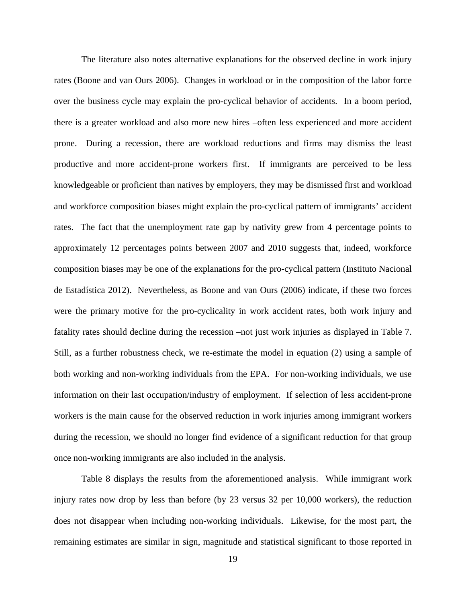The literature also notes alternative explanations for the observed decline in work injury rates (Boone and van Ours 2006). Changes in workload or in the composition of the labor force over the business cycle may explain the pro-cyclical behavior of accidents. In a boom period, there is a greater workload and also more new hires –often less experienced and more accident prone. During a recession, there are workload reductions and firms may dismiss the least productive and more accident-prone workers first. If immigrants are perceived to be less knowledgeable or proficient than natives by employers, they may be dismissed first and workload and workforce composition biases might explain the pro-cyclical pattern of immigrants' accident rates. The fact that the unemployment rate gap by nativity grew from 4 percentage points to approximately 12 percentages points between 2007 and 2010 suggests that, indeed, workforce composition biases may be one of the explanations for the pro-cyclical pattern (Instituto Nacional de Estadística 2012). Nevertheless, as Boone and van Ours (2006) indicate, if these two forces were the primary motive for the pro-cyclicality in work accident rates, both work injury and fatality rates should decline during the recession –not just work injuries as displayed in Table 7. Still, as a further robustness check, we re-estimate the model in equation (2) using a sample of both working and non-working individuals from the EPA. For non-working individuals, we use information on their last occupation/industry of employment. If selection of less accident-prone workers is the main cause for the observed reduction in work injuries among immigrant workers during the recession, we should no longer find evidence of a significant reduction for that group once non-working immigrants are also included in the analysis.

Table 8 displays the results from the aforementioned analysis. While immigrant work injury rates now drop by less than before (by 23 versus 32 per 10,000 workers), the reduction does not disappear when including non-working individuals. Likewise, for the most part, the remaining estimates are similar in sign, magnitude and statistical significant to those reported in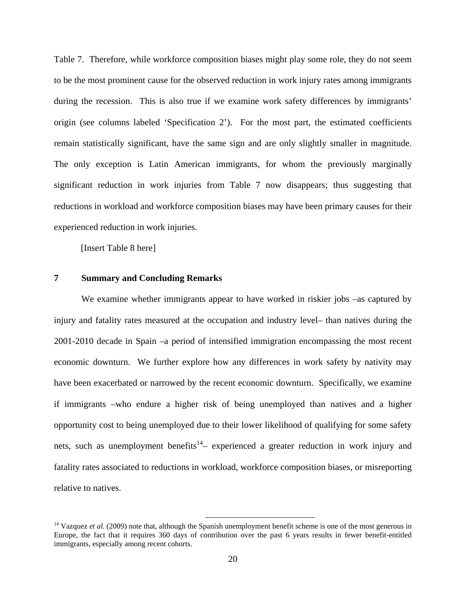Table 7. Therefore, while workforce composition biases might play some role, they do not seem to be the most prominent cause for the observed reduction in work injury rates among immigrants during the recession. This is also true if we examine work safety differences by immigrants' origin (see columns labeled 'Specification 2'). For the most part, the estimated coefficients remain statistically significant, have the same sign and are only slightly smaller in magnitude. The only exception is Latin American immigrants, for whom the previously marginally significant reduction in work injuries from Table 7 now disappears; thus suggesting that reductions in workload and workforce composition biases may have been primary causes for their experienced reduction in work injuries.

[Insert Table 8 here]

#### **7 Summary and Concluding Remarks**

We examine whether immigrants appear to have worked in riskier jobs –as captured by injury and fatality rates measured at the occupation and industry level– than natives during the 2001-2010 decade in Spain –a period of intensified immigration encompassing the most recent economic downturn. We further explore how any differences in work safety by nativity may have been exacerbated or narrowed by the recent economic downturn. Specifically, we examine if immigrants –who endure a higher risk of being unemployed than natives and a higher opportunity cost to being unemployed due to their lower likelihood of qualifying for some safety nets, such as unemployment benefits<sup>14</sup>– experienced a greater reduction in work injury and fatality rates associated to reductions in workload, workforce composition biases, or misreporting relative to natives.

<sup>&</sup>lt;sup>14</sup> Vazquez *et al.* (2009) note that, although the Spanish unemployment benefit scheme is one of the most generous in Europe, the fact that it requires 360 days of contribution over the past 6 years results in fewer benefit-entitled immigrants, especially among recent cohorts.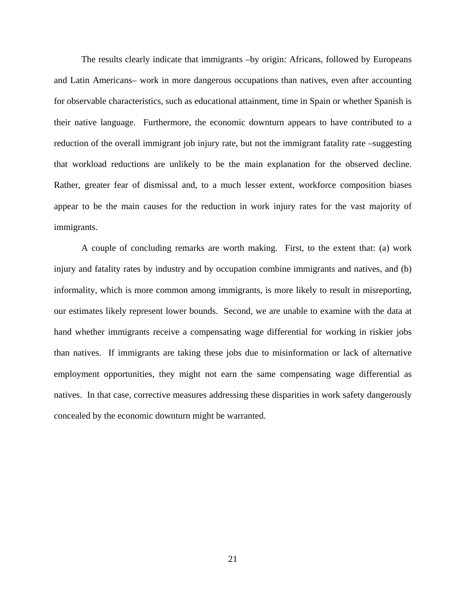The results clearly indicate that immigrants –by origin: Africans, followed by Europeans and Latin Americans– work in more dangerous occupations than natives, even after accounting for observable characteristics, such as educational attainment, time in Spain or whether Spanish is their native language. Furthermore, the economic downturn appears to have contributed to a reduction of the overall immigrant job injury rate, but not the immigrant fatality rate –suggesting that workload reductions are unlikely to be the main explanation for the observed decline. Rather, greater fear of dismissal and, to a much lesser extent, workforce composition biases appear to be the main causes for the reduction in work injury rates for the vast majority of immigrants.

A couple of concluding remarks are worth making. First, to the extent that: (a) work injury and fatality rates by industry and by occupation combine immigrants and natives, and (b) informality, which is more common among immigrants, is more likely to result in misreporting, our estimates likely represent lower bounds. Second, we are unable to examine with the data at hand whether immigrants receive a compensating wage differential for working in riskier jobs than natives. If immigrants are taking these jobs due to misinformation or lack of alternative employment opportunities, they might not earn the same compensating wage differential as natives. In that case, corrective measures addressing these disparities in work safety dangerously concealed by the economic downturn might be warranted.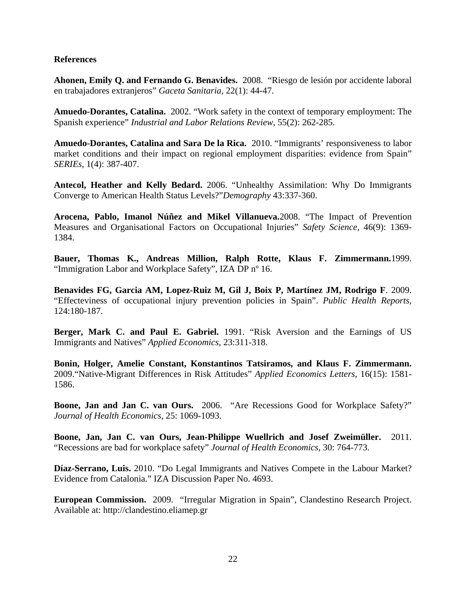## **References**

**Ahonen, Emily Q. and Fernando G. Benavides.** 2008. "Riesgo de lesión por accidente laboral en trabajadores extranjeros" *Gaceta Sanitaria*, 22(1): 44-47.

**Amuedo-Dorantes, Catalina.** 2002. "Work safety in the context of temporary employment: The Spanish experience" *Industrial and Labor Relations Review*, 55(2): 262-285.

**Amuedo-Dorantes, Catalina and Sara De la Rica.** 2010. "Immigrants' responsiveness to labor market conditions and their impact on regional employment disparities: evidence from Spain" *SERIEs*, 1(4): 387-407.

**Antecol, Heather and Kelly Bedard.** 2006. "Unhealthy Assimilation: Why Do Immigrants Converge to American Health Status Levels?"*Demography* 43:337-360.

**Arocena, Pablo, Imanol Núñez and Mikel Villanueva.**2008. "The Impact of Prevention Measures and Organisational Factors on Occupational Injuries" *Safety Science,* 46(9): 1369- 1384.

**Bauer, Thomas K., Andreas Million, Ralph Rotte, Klaus F. Zimmermann.**1999. "Immigration Labor and Workplace Safety", IZA DP nº 16.

**Benavides FG, Garcia AM, Lopez-Ruiz M, Gil J, Boix P, Martínez JM, Rodrigo F**. 2009. "Effecteviness of occupational injury prevention policies in Spain". *Public Health Reports*, 124:180-187.

**Berger, Mark C. and Paul E. Gabriel.** 1991. "Risk Aversion and the Earnings of US Immigrants and Natives" *Applied Economics*, 23:311-318.

**Bonin, Holger, Amelie Constant, Konstantinos Tatsiramos, and Klaus F. Zimmermann.** 2009."Native-Migrant Differences in Risk Attitudes" *Applied Economics Letters*, 16(15): 1581- 1586.

**Boone, Jan and Jan C. van Ours.** 2006. "Are Recessions Good for Workplace Safety?" *Journal of Health Economics*, 25: 1069-1093.

**Boone, Jan, Jan C. van Ours, Jean-Philippe Wuellrich and Josef Zweimüller.** 2011. "Recessions are bad for workplace safety" *Journal of Health Economics*, 30: 764-773.

**Díaz-Serrano, Luis.** 2010. "Do Legal Immigrants and Natives Compete in the Labour Market? Evidence from Catalonia." IZA Discussion Paper No. 4693.

**European Commission.** 2009. "Irregular Migration in Spain", Clandestino Research Project. Available at: http://clandestino.eliamep.gr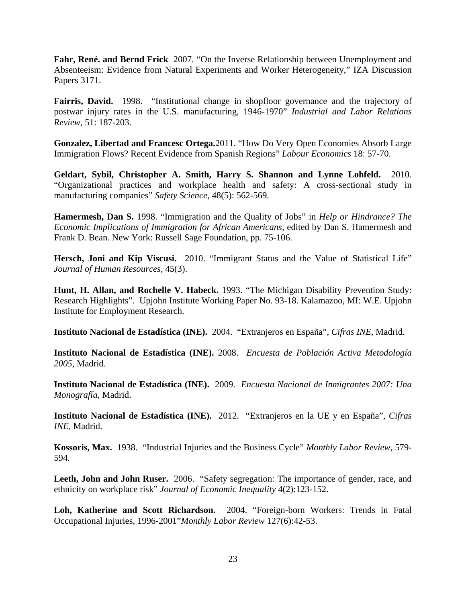**Fahr, René. and Bernd Frick** 2007. "On the Inverse Relationship between Unemployment and Absenteeism: Evidence from Natural Experiments and Worker Heterogeneity," IZA Discussion Papers 3171.

**Fairris, David.** 1998. "Institutional change in shopfloor governance and the trajectory of postwar injury rates in the U.S. manufacturing, 1946-1970" *Industrial and Labor Relations Review*, 51: 187-203.

**Gonzalez, Libertad and Francesc Ortega.**2011. "How Do Very Open Economies Absorb Large Immigration Flows? Recent Evidence from Spanish Regions" *Labour Economics* 18: 57-70.

**Geldart, Sybil, Christopher A. Smith, Harry S. Shannon and Lynne Lohfeld.** 2010. "Organizational practices and workplace health and safety: A cross-sectional study in manufacturing companies" *Safety Science,* 48(5): 562-569.

**Hamermesh, Dan S.** 1998. "Immigration and the Quality of Jobs" in *Help or Hindrance? The Economic Implications of Immigration for African Americans*, edited by Dan S. Hamermesh and Frank D. Bean. New York: Russell Sage Foundation, pp. 75-106.

**Hersch, Joni and Kip Viscusi.** 2010. "Immigrant Status and the Value of Statistical Life" *Journal of Human Resources*, 45(3).

**Hunt, H. Allan, and Rochelle V. Habeck.** 1993. "The Michigan Disability Prevention Study: Research Highlights". Upjohn Institute Working Paper No. 93-18. Kalamazoo, MI: W.E. Upjohn Institute for Employment Research.

**Instituto Nacional de Estadística (INE).** 2004. "Extranjeros en España", *Cifras INE*, Madrid.

**Instituto Nacional de Estadística (INE).** 2008. *Encuesta de Población Activa Metodología 2005*, Madrid.

**Instituto Nacional de Estadística (INE).** 2009. *Encuesta Nacional de Inmigrantes 2007: Una Monografía,* Madrid.

**Instituto Nacional de Estadística (INE).** 2012. "Extranjeros en la UE y en España", *Cifras INE,* Madrid.

**Kossoris, Max.** 1938. "Industrial Injuries and the Business Cycle" *Monthly Labor Review*, 579- 594.

Leeth, John and John Ruser. 2006. "Safety segregation: The importance of gender, race, and ethnicity on workplace risk" *Journal of Economic Inequality* 4(2):123-152.

**Loh, Katherine and Scott Richardson.** 2004. "Foreign-born Workers: Trends in Fatal Occupational Injuries, 1996-2001"*Monthly Labor Review* 127(6):42-53.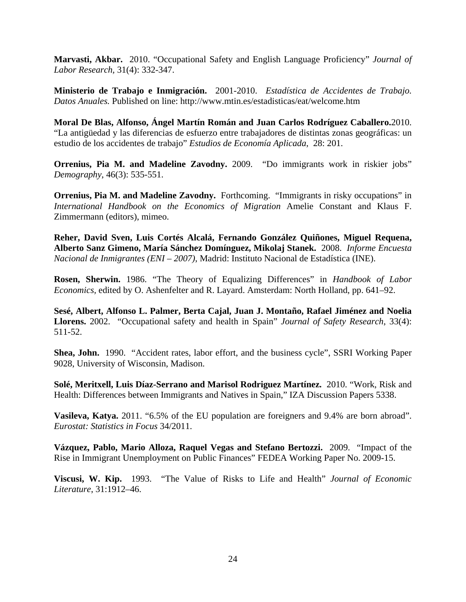**Marvasti, Akbar.** 2010. "Occupational Safety and English Language Proficiency" *Journal of Labor Research,* 31(4): 332-347.

**Ministerio de Trabajo e Inmigración.** 2001-2010. *Estadística de Accidentes de Trabajo. Datos Anuales.* Published on line: http://www.mtin.es/estadisticas/eat/welcome.htm

**Moral De Blas, Alfonso, Ángel Martín Román and Juan Carlos Rodríguez Caballero.**2010. "La antigüedad y las diferencias de esfuerzo entre trabajadores de distintas zonas geográficas: un estudio de los accidentes de trabajo" *Estudios de Economía Aplicada*, 28: 201.

**Orrenius, Pia M. and Madeline Zavodny.** 2009. "Do immigrants work in riskier jobs" *Demography*, 46(3): 535-551.

**Orrenius, Pia M. and Madeline Zavodny.** Forthcoming. "Immigrants in risky occupations" in *International Handbook on the Economics of Migration* Amelie Constant and Klaus F. Zimmermann (editors), mimeo.

**Reher, David Sven, Luis Cortés Alcalá, Fernando González Quiñones, Miguel Requena, Alberto Sanz Gimeno, María Sánchez Domínguez, Mikolaj Stanek.** 2008. *Informe Encuesta Nacional de Inmigrantes (ENI – 2007)*, Madrid: Instituto Nacional de Estadística (INE).

**Rosen, Sherwin.** 1986. "The Theory of Equalizing Differences" in *Handbook of Labor Economics,* edited by O. Ashenfelter and R. Layard. Amsterdam: North Holland, pp. 641–92.

**Sesé, Albert, Alfonso L. Palmer, Berta Cajal, Juan J. Montaño, Rafael Jiménez and Noelia Llorens.** 2002. "Occupational safety and health in Spain" *Journal of Safety Research*, 33(4): 511-52.

**Shea, John.** 1990. "Accident rates, labor effort, and the business cycle", SSRI Working Paper 9028, University of Wisconsin, Madison.

**Solé, Meritxell, Luis Díaz-Serrano and Marisol Rodriguez Martínez.** 2010. "Work, Risk and Health: Differences between Immigrants and Natives in Spain," IZA Discussion Papers 5338.

**Vasileva, Katya.** 2011. "6.5% of the EU population are foreigners and 9.4% are born abroad". *Eurostat: Statistics in Focus* 34/2011.

**Vázquez, Pablo, Mario Alloza, Raquel Vegas and Stefano Bertozzi.** 2009. "Impact of the Rise in Immigrant Unemployment on Public Finances" FEDEA Working Paper No. 2009-15.

**Viscusi, W. Kip.** 1993. "The Value of Risks to Life and Health" *Journal of Economic Literature*, 31:1912–46.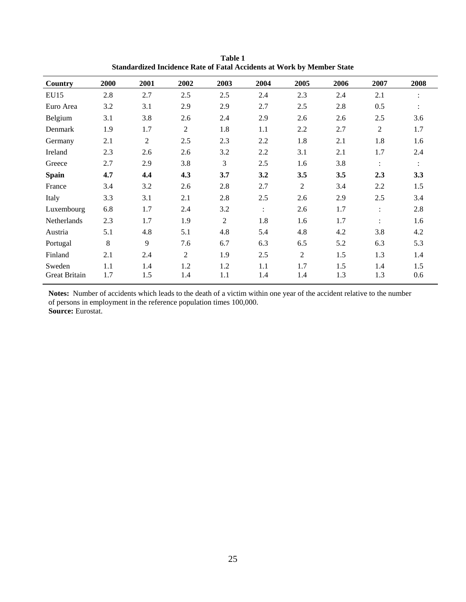| Country                        | 2000       | 2001           | 2002           | 2003           | 2004           | 2005           | 2006       | 2007           | 2008           |
|--------------------------------|------------|----------------|----------------|----------------|----------------|----------------|------------|----------------|----------------|
| <b>EU15</b>                    | 2.8        | 2.7            | 2.5            | 2.5            | 2.4            | 2.3            | 2.4        | 2.1            |                |
| Euro Area                      | 3.2        | 3.1            | 2.9            | 2.9            | 2.7            | 2.5            | 2.8        | 0.5            | $\ddot{\cdot}$ |
| Belgium                        | 3.1        | 3.8            | 2.6            | 2.4            | 2.9            | 2.6            | 2.6        | 2.5            | 3.6            |
| Denmark                        | 1.9        | 1.7            | 2              | 1.8            | 1.1            | 2.2            | 2.7        | $\overline{2}$ | 1.7            |
| Germany                        | 2.1        | $\overline{2}$ | 2.5            | 2.3            | 2.2            | 1.8            | 2.1        | 1.8            | 1.6            |
| Ireland                        | 2.3        | 2.6            | 2.6            | 3.2            | 2.2            | 3.1            | 2.1        | 1.7            | 2.4            |
| Greece                         | 2.7        | 2.9            | 3.8            | 3              | 2.5            | 1.6            | 3.8        | $\ddot{\cdot}$ | $\ddot{\cdot}$ |
| <b>Spain</b>                   | 4.7        | 4,4            | 4.3            | 3.7            | 3.2            | 3.5            | 3.5        | 2.3            | 3.3            |
| France                         | 3.4        | 3.2            | 2.6            | 2.8            | 2.7            | $\overline{2}$ | 3.4        | 2.2            | 1.5            |
| Italy                          | 3.3        | 3.1            | 2.1            | 2.8            | 2.5            | 2.6            | 2.9        | 2.5            | 3.4            |
| Luxembourg                     | 6.8        | 1.7            | 2.4            | 3.2            | $\ddot{\cdot}$ | 2.6            | 1.7        | $\ddot{\cdot}$ | 2.8            |
| Netherlands                    | 2.3        | 1.7            | 1.9            | $\overline{2}$ | 1.8            | 1.6            | 1.7        | $\ddot{\cdot}$ | 1.6            |
| Austria                        | 5.1        | 4.8            | 5.1            | 4.8            | 5.4            | 4.8            | 4.2        | 3.8            | 4.2            |
| Portugal                       | 8          | 9              | 7.6            | 6.7            | 6.3            | 6.5            | 5.2        | 6.3            | 5.3            |
| Finland                        | 2.1        | 2.4            | $\overline{2}$ | 1.9            | 2.5            | $\overline{2}$ | 1.5        | 1.3            | 1.4            |
| Sweden<br><b>Great Britain</b> | 1.1<br>1.7 | 1.4<br>1.5     | 1.2<br>1.4     | 1.2<br>1.1     | 1.1<br>1.4     | 1.7<br>1.4     | 1.5<br>1.3 | 1.4<br>1.3     | 1.5<br>0.6     |

**Table 1 Standardized Incidence Rate of Fatal Accidents at Work by Member State** 

**Notes:** Number of accidents which leads to the death of a victim within one year of the accident relative to the number of persons in employment in the reference population times 100,000. **Source:** Eurostat.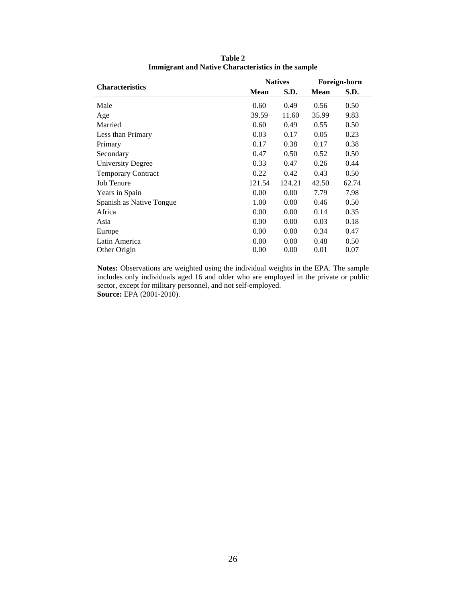|                           |             | <b>Natives</b> |             | Foreign-born |
|---------------------------|-------------|----------------|-------------|--------------|
| <b>Characteristics</b>    | <b>Mean</b> | S.D.           | <b>Mean</b> | S.D.         |
| Male                      | 0.60        | 0.49           | 0.56        | 0.50         |
| Age                       | 39.59       | 11.60          | 35.99       | 9.83         |
| Married                   | 0.60        | 0.49           | 0.55        | 0.50         |
| Less than Primary         | 0.03        | 0.17           | 0.05        | 0.23         |
| Primary                   | 0.17        | 0.38           | 0.17        | 0.38         |
| Secondary                 | 0.47        | 0.50           | 0.52        | 0.50         |
| <b>University Degree</b>  | 0.33        | 0.47           | 0.26        | 0.44         |
| <b>Temporary Contract</b> | 0.22        | 0.42           | 0.43        | 0.50         |
| Job Tenure                | 121.54      | 124.21         | 42.50       | 62.74        |
| Years in Spain            | 0.00        | 0.00           | 7.79        | 7.98         |
| Spanish as Native Tongue  | 1.00        | 0.00           | 0.46        | 0.50         |
| Africa                    | 0.00        | 0.00           | 0.14        | 0.35         |
| Asia                      | 0.00        | 0.00           | 0.03        | 0.18         |
| Europe                    | 0.00        | 0.00           | 0.34        | 0.47         |
| Latin America             | 0.00        | 0.00           | 0.48        | 0.50         |
| Other Origin              | 0.00        | 0.00           | 0.01        | 0.07         |

**Table 2 Immigrant and Native Characteristics in the sample** 

**Notes:** Observations are weighted using the individual weights in the EPA. The sample includes only individuals aged 16 and older who are employed in the private or public sector, except for military personnel, and not self-employed. **Source:** EPA (2001-2010).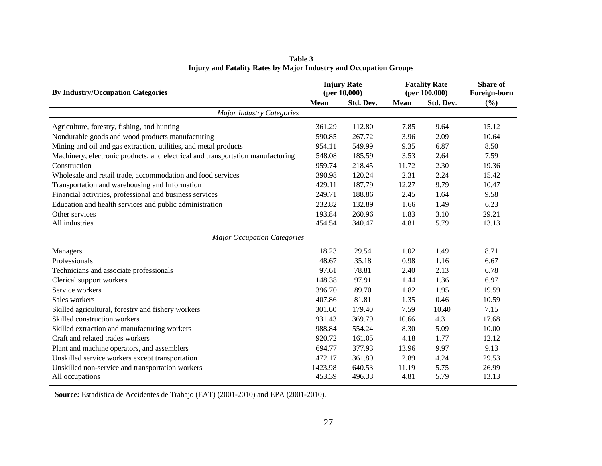| <b>By Industry/Occupation Categories</b>                                        |             | <b>Injury Rate</b><br>(per $10,000$ ) |             | <b>Fatality Rate</b><br>(per $100,000$ ) | <b>Share of</b><br>Foreign-born |  |
|---------------------------------------------------------------------------------|-------------|---------------------------------------|-------------|------------------------------------------|---------------------------------|--|
|                                                                                 | <b>Mean</b> | Std. Dev.                             | <b>Mean</b> | Std. Dev.                                | $(\%)$                          |  |
| <b>Major Industry Categories</b>                                                |             |                                       |             |                                          |                                 |  |
| Agriculture, forestry, fishing, and hunting                                     | 361.29      | 112.80                                | 7.85        | 9.64                                     | 15.12                           |  |
| Nondurable goods and wood products manufacturing                                | 590.85      | 267.72                                | 3.96        | 2.09                                     | 10.64                           |  |
| Mining and oil and gas extraction, utilities, and metal products                | 954.11      | 549.99                                | 9.35        | 6.87                                     | 8.50                            |  |
| Machinery, electronic products, and electrical and transportation manufacturing | 548.08      | 185.59                                | 3.53        | 2.64                                     | 7.59                            |  |
| Construction                                                                    | 959.74      | 218.45                                | 11.72       | 2.30                                     | 19.36                           |  |
| Wholesale and retail trade, accommodation and food services                     | 390.98      | 120.24                                | 2.31        | 2.24                                     | 15.42                           |  |
| Transportation and warehousing and Information                                  | 429.11      | 187.79                                | 12.27       | 9.79                                     | 10.47                           |  |
| Financial activities, professional and business services                        | 249.71      | 188.86                                | 2.45        | 1.64                                     | 9.58                            |  |
| Education and health services and public administration                         | 232.82      | 132.89                                | 1.66        | 1.49                                     | 6.23                            |  |
| Other services                                                                  | 193.84      | 260.96                                | 1.83        | 3.10                                     | 29.21                           |  |
| All industries                                                                  | 454.54      | 340.47                                | 4.81        | 5.79                                     | 13.13                           |  |
| <b>Major Occupation Categories</b>                                              |             |                                       |             |                                          |                                 |  |
| Managers                                                                        | 18.23       | 29.54                                 | 1.02        | 1.49                                     | 8.71                            |  |
| Professionals                                                                   | 48.67       | 35.18                                 | 0.98        | 1.16                                     | 6.67                            |  |
| Technicians and associate professionals                                         | 97.61       | 78.81                                 | 2.40        | 2.13                                     | 6.78                            |  |
| Clerical support workers                                                        | 148.38      | 97.91                                 | 1.44        | 1.36                                     | 6.97                            |  |
| Service workers                                                                 | 396.70      | 89.70                                 | 1.82        | 1.95                                     | 19.59                           |  |
| Sales workers                                                                   | 407.86      | 81.81                                 | 1.35        | 0.46                                     | 10.59                           |  |
| Skilled agricultural, forestry and fishery workers                              | 301.60      | 179.40                                | 7.59        | 10.40                                    | 7.15                            |  |
| Skilled construction workers                                                    | 931.43      | 369.79                                | 10.66       | 4.31                                     | 17.68                           |  |
| Skilled extraction and manufacturing workers                                    | 988.84      | 554.24                                | 8.30        | 5.09                                     | 10.00                           |  |
| Craft and related trades workers                                                | 920.72      | 161.05                                | 4.18        | 1.77                                     | 12.12                           |  |
| Plant and machine operators, and assemblers                                     | 694.77      | 377.93                                | 13.96       | 9.97                                     | 9.13                            |  |
| Unskilled service workers except transportation                                 | 472.17      | 361.80                                | 2.89        | 4.24                                     | 29.53                           |  |
| Unskilled non-service and transportation workers                                | 1423.98     | 640.53                                | 11.19       | 5.75                                     | 26.99                           |  |
| All occupations                                                                 | 453.39      | 496.33                                | 4.81        | 5.79                                     | 13.13                           |  |

**Table 3 Injury and Fatality Rates by Major Industry and Occupation Groups** 

**Source:** Estadística de Accidentes de Trabajo (EAT) (2001-2010) and EPA (2001-2010).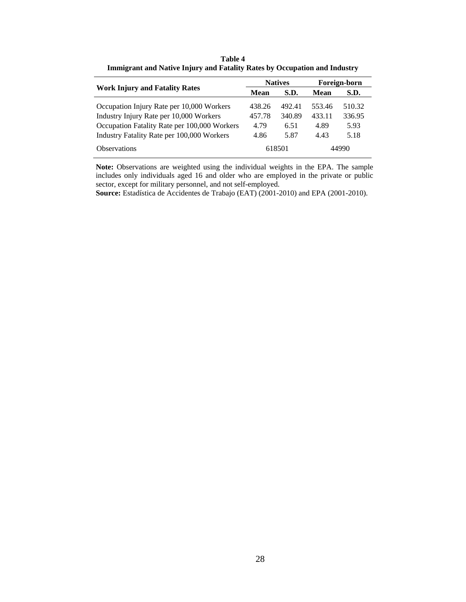|                                              |        | <b>Natives</b> |        | Foreign-born |
|----------------------------------------------|--------|----------------|--------|--------------|
| <b>Work Injury and Fatality Rates</b>        | Mean   | S.D.           | Mean   | S.D.         |
| Occupation Injury Rate per 10,000 Workers    | 438.26 | 492.41         | 553.46 | 510.32       |
| Industry Injury Rate per 10,000 Workers      | 457.78 | 340.89         | 433.11 | 336.95       |
| Occupation Fatality Rate per 100,000 Workers | 4.79   | 6.51           | 4.89   | 5.93         |
| Industry Fatality Rate per 100,000 Workers   | 4.86   | 5.87           | 4.43   | 5.18         |
| <b>Observations</b>                          |        | 618501         |        | 44990        |

**Table 4 Immigrant and Native Injury and Fatality Rates by Occupation and Industry** 

**Note:** Observations are weighted using the individual weights in the EPA. The sample includes only individuals aged 16 and older who are employed in the private or public sector, except for military personnel, and not self-employed.

**Source:** Estadística de Accidentes de Trabajo (EAT) (2001-2010) and EPA (2001-2010).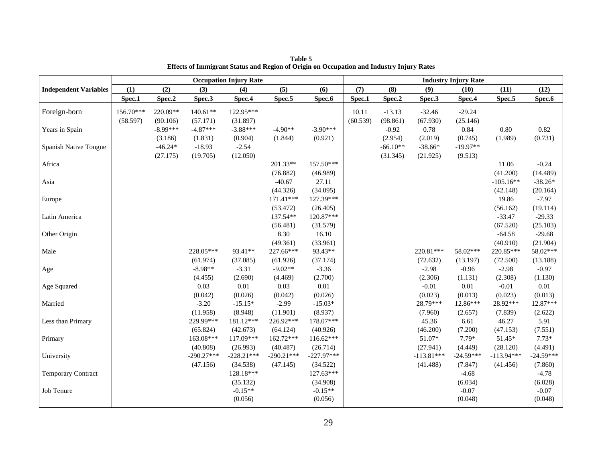|                              |           |            |              | <b>Occupation Injury Rate</b> |              |              |          |            |              | <b>Industry Injury Rate</b> |              |             |
|------------------------------|-----------|------------|--------------|-------------------------------|--------------|--------------|----------|------------|--------------|-----------------------------|--------------|-------------|
| <b>Independent Variables</b> | (1)       | (2)        | (3)          | (4)                           | (5)          | (6)          | (7)      | (8)        | (9)          | (10)                        | (11)         | (12)        |
|                              | Spec.1    | Spec.2     | Spec.3       | Spec.4                        | Spec.5       | Spec.6       | Spec.1   | Spec.2     | Spec.3       | Spec.4                      | Spec.5       | Spec.6      |
| Foreign-born                 | 156.70*** | 220.09**   | $140.61**$   | 122.95***                     |              |              | 10.11    | $-13.13$   | $-32.46$     | $-29.24$                    |              |             |
|                              | (58.597)  | (90.106)   | (57.171)     | (31.897)                      |              |              | (60.539) | (98.861)   | (67.930)     | (25.146)                    |              |             |
| Years in Spain               |           | $-8.99***$ | $-4.87***$   | $-3.88***$                    | $-4.90**$    | $-3.90***$   |          | $-0.92$    | 0.78         | 0.84                        | $0.80\,$     | 0.82        |
|                              |           | (3.186)    | (1.831)      | (0.904)                       | (1.844)      | (0.921)      |          | (2.954)    | (2.019)      | (0.745)                     | (1.989)      | (0.731)     |
| Spanish Native Tongue        |           | $-46.24*$  | $-18.93$     | $-2.54$                       |              |              |          | $-66.10**$ | $-38.66*$    | $-19.97**$                  |              |             |
|                              |           | (27.175)   | (19.705)     | (12.050)                      |              |              |          | (31.345)   | (21.925)     | (9.513)                     |              |             |
| Africa                       |           |            |              |                               | 201.33**     | 157.50***    |          |            |              |                             | 11.06        | $-0.24$     |
|                              |           |            |              |                               | (76.882)     | (46.989)     |          |            |              |                             | (41.200)     | (14.489)    |
| Asia                         |           |            |              |                               | $-40.67$     | 27.11        |          |            |              |                             | $-105.16**$  | $-38.26*$   |
|                              |           |            |              |                               | (44.326)     | (34.095)     |          |            |              |                             | (42.148)     | (20.164)    |
| Europe                       |           |            |              |                               | $171.41***$  | 127.39***    |          |            |              |                             | 19.86        | $-7.97$     |
|                              |           |            |              |                               | (53.472)     | (26.405)     |          |            |              |                             | (56.162)     | (19.114)    |
| Latin America                |           |            |              |                               | 137.54**     | 120.87***    |          |            |              |                             | $-33.47$     | $-29.33$    |
|                              |           |            |              |                               | (56.481)     | (31.579)     |          |            |              |                             | (67.520)     | (25.103)    |
| Other Origin                 |           |            |              |                               | 8.30         | 16.10        |          |            |              |                             | $-64.58$     | $-29.68$    |
|                              |           |            |              |                               | (49.361)     | (33.961)     |          |            |              |                             | (40.910)     | (21.904)    |
| Male                         |           |            | 228.05***    | 93.41**                       | 227.66***    | 93.43**      |          |            | 220.81***    | 58.02***                    | 220.85***    | 58.02***    |
|                              |           |            | (61.974)     | (37.085)                      | (61.926)     | (37.174)     |          |            | (72.632)     | (13.197)                    | (72.500)     | (13.188)    |
| Age                          |           |            | $-8.98**$    | $-3.31$                       | $-9.02**$    | $-3.36$      |          |            | $-2.98$      | $-0.96$                     | $-2.98$      | $-0.97$     |
|                              |           |            | (4.455)      | (2.690)                       | (4.469)      | (2.700)      |          |            | (2.306)      | (1.131)                     | (2.308)      | (1.130)     |
| Age Squared                  |           |            | 0.03         | 0.01                          | 0.03         | 0.01         |          |            | $-0.01$      | 0.01                        | $-0.01$      | 0.01        |
|                              |           |            | (0.042)      | (0.026)                       | (0.042)      | (0.026)      |          |            | (0.023)      | (0.013)                     | (0.023)      | (0.013)     |
| Married                      |           |            | $-3.20$      | $-15.15*$                     | $-2.99$      | $-15.03*$    |          |            | 28.79***     | 12.86***                    | 28.92***     | 12.87***    |
|                              |           |            | (11.958)     | (8.948)                       | (11.901)     | (8.937)      |          |            | (7.960)      | (2.657)                     | (7.839)      | (2.622)     |
| Less than Primary            |           |            | 229.99***    | 181.12***                     | 226.92***    | 178.07***    |          |            | 45.36        | 6.61                        | 46.27        | 5.91        |
|                              |           |            | (65.824)     | (42.673)                      | (64.124)     | (40.926)     |          |            | (46.200)     | (7.200)                     | (47.153)     | (7.551)     |
| Primary                      |           |            | 163.08***    | 117.09***                     | 162.72***    | $116.62***$  |          |            | 51.07*       | $7.79*$                     | 51.45*       | $7.73*$     |
|                              |           |            | (40.808)     | (26.993)                      | (40.487)     | (26.714)     |          |            | (27.941)     | (4.449)                     | (28.120)     | (4.491)     |
| University                   |           |            | $-290.27***$ | $-228.21***$                  | $-290.21***$ | $-227.97***$ |          |            | $-113.81***$ | $-24.59***$                 | $-113.94***$ | $-24.59***$ |
|                              |           |            | (47.156)     | (34.538)                      | (47.145)     | (34.522)     |          |            | (41.488)     | (7.847)                     | (41.456)     | (7.860)     |
| <b>Temporary Contract</b>    |           |            |              | 128.18***                     |              | 127.63***    |          |            |              | $-4.68$                     |              | $-4.78$     |
|                              |           |            |              | (35.132)                      |              | (34.908)     |          |            |              | (6.034)                     |              | (6.028)     |
| Job Tenure                   |           |            |              | $-0.15**$                     |              | $-0.15**$    |          |            |              | $-0.07$                     |              | $-0.07$     |
|                              |           |            |              | (0.056)                       |              | (0.056)      |          |            |              | (0.048)                     |              | (0.048)     |

**Table 5 Effects of Immigrant Status and Region of Origin on Occupation and Industry Injury Rates**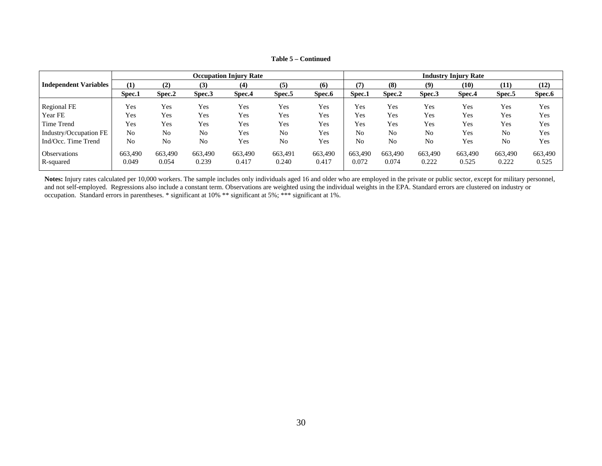|                              | <b>Occupation Injury Rate</b> |                  |                  |                  |                  |                  | <b>Industry Injury Rate</b> |                  |                  |                  |                       |                  |
|------------------------------|-------------------------------|------------------|------------------|------------------|------------------|------------------|-----------------------------|------------------|------------------|------------------|-----------------------|------------------|
| <b>Independent Variables</b> | (1)                           | (2)              | (3)              | (4)              | (5)              | (6)              | (7)                         | (8)              | (9)              | (10)             | (11)                  | (12)             |
|                              | Spec.1                        | Spec.2           | Spec.3           | Spec.4           | Spec.5           | Spec.6           | Spec.1                      | Spec.2           | Spec.3           | Spec.4           | Spec.5                | Spec.6           |
| Regional FE                  | Yes                           | Yes              | Yes              | Yes              | Yes              | Yes              | Yes                         | Yes              | Yes              | Yes              | Yes                   | Yes              |
| Year FE                      | Yes                           | Yes              | Yes              | Yes              | Yes              | Yes              | Yes                         | Yes              | Yes              | Yes              | Yes                   | Yes              |
| Time Trend                   | Yes                           | Yes              | Yes              | Yes              | Yes              | Yes              | Yes                         | Yes              | Yes              | Yes              | Yes                   | Yes              |
| Industry/Occupation FE       | No                            | No               | No               | Yes              | No               | Yes              | No                          | No               | No               | Yes              | N <sub>0</sub>        | Yes              |
| Ind/Occ. Time Trend          | No                            | No               | N <sub>0</sub>   | Yes              | No               | Yes              | No                          | No               | No<br>Yes        |                  | Yes<br>N <sub>0</sub> |                  |
| Observations<br>R-squared    | 663,490<br>0.049              | 663.490<br>0.054 | 663,490<br>0.239 | 663,490<br>0.417 | 663,491<br>0.240 | 663,490<br>0.417 | 663,490<br>0.072            | 663,490<br>0.074 | 663,490<br>0.222 | 663,490<br>0.525 | 663,490<br>0.222      | 663,490<br>0.525 |

**Table 5 – Continued** 

Notes: Injury rates calculated per 10,000 workers. The sample includes only individuals aged 16 and older who are employed in the private or public sector, except for military personnel, and not self-employed. Regressions also include a constant term. Observations are weighted using the individual weights in the EPA. Standard errors are clustered on industry or occupation. Standard errors in parentheses. \* significant at 10% \*\* significant at 5%; \*\*\* significant at 1%.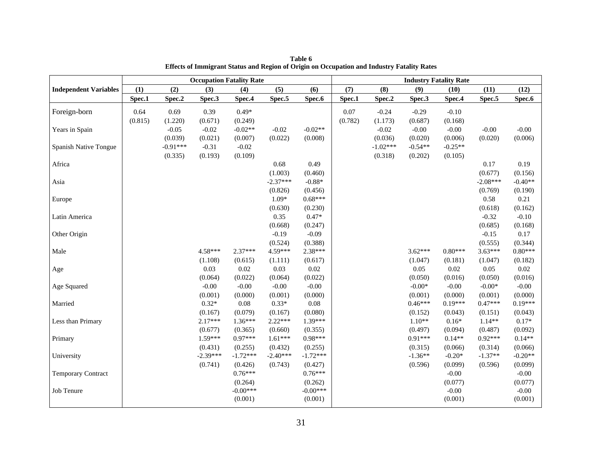|                              | <b>Occupation Fatality Rate</b> |            |            |            |            |            |         | <b>Industry Fatality Rate</b> |           |           |            |           |
|------------------------------|---------------------------------|------------|------------|------------|------------|------------|---------|-------------------------------|-----------|-----------|------------|-----------|
| <b>Independent Variables</b> | (1)                             | (2)        | (3)        | (4)        | (5)        | (6)        | (7)     | (8)                           | (9)       | (10)      | (11)       | (12)      |
|                              | Spec.1                          | Spec.2     | Spec.3     | Spec.4     | Spec.5     | Spec.6     | Spec.1  | Spec.2                        | Spec.3    | Spec.4    | Spec.5     | Spec.6    |
| Foreign-born                 | 0.64                            | 0.69       | 0.39       | $0.49*$    |            |            | 0.07    | $-0.24$                       | $-0.29$   | $-0.10$   |            |           |
|                              | (0.815)                         | (1.220)    | (0.671)    | (0.249)    |            |            | (0.782) | (1.173)                       | (0.687)   | (0.168)   |            |           |
| Years in Spain               |                                 | $-0.05$    | $-0.02$    | $-0.02**$  | $-0.02$    | $-0.02**$  |         | $-0.02$                       | $-0.00$   | $-0.00$   | $-0.00$    | $-0.00$   |
|                              |                                 | (0.039)    | (0.021)    | (0.007)    | (0.022)    | (0.008)    |         | (0.036)                       | (0.020)   | (0.006)   | (0.020)    | (0.006)   |
| Spanish Native Tongue        |                                 | $-0.91***$ | $-0.31$    | $-0.02$    |            |            |         | $-1.02***$                    | $-0.54**$ | $-0.25**$ |            |           |
|                              |                                 | (0.335)    | (0.193)    | (0.109)    |            |            |         | (0.318)                       | (0.202)   | (0.105)   |            |           |
| Africa                       |                                 |            |            |            | 0.68       | 0.49       |         |                               |           |           | 0.17       | 0.19      |
|                              |                                 |            |            |            | (1.003)    | (0.460)    |         |                               |           |           | (0.677)    | (0.156)   |
| Asia                         |                                 |            |            |            | $-2.37***$ | $-0.88*$   |         |                               |           |           | $-2.08***$ | $-0.40**$ |
|                              |                                 |            |            |            | (0.826)    | (0.456)    |         |                               |           |           | (0.769)    | (0.190)   |
| Europe                       |                                 |            |            |            | $1.09*$    | $0.68***$  |         |                               |           |           | 0.58       | 0.21      |
|                              |                                 |            |            |            | (0.630)    | (0.230)    |         |                               |           |           | (0.618)    | (0.162)   |
| Latin America                |                                 |            |            |            | 0.35       | $0.47*$    |         |                               |           |           | $-0.32$    | $-0.10$   |
|                              |                                 |            |            |            | (0.668)    | (0.247)    |         |                               |           |           | (0.685)    | (0.168)   |
| Other Origin                 |                                 |            |            |            | $-0.19$    | $-0.09$    |         |                               |           |           | $-0.15$    | 0.17      |
|                              |                                 |            |            |            | (0.524)    | (0.388)    |         |                               |           |           | (0.555)    | (0.344)   |
| Male                         |                                 |            | 4.58***    | $2.37***$  | 4.59***    | 2.38***    |         |                               | $3.62***$ | $0.80***$ | $3.63***$  | $0.80***$ |
|                              |                                 |            | (1.108)    | (0.615)    | (1.111)    | (0.617)    |         |                               | (1.047)   | (0.181)   | (1.047)    | (0.182)   |
| Age                          |                                 |            | 0.03       | 0.02       | 0.03       | 0.02       |         |                               | 0.05      | 0.02      | 0.05       | 0.02      |
|                              |                                 |            | (0.064)    | (0.022)    | (0.064)    | (0.022)    |         |                               | (0.050)   | (0.016)   | (0.050)    | (0.016)   |
| Age Squared                  |                                 |            | $-0.00$    | $-0.00$    | $-0.00$    | $-0.00$    |         |                               | $-0.00*$  | $-0.00$   | $-0.00*$   | $-0.00$   |
|                              |                                 |            | (0.001)    | (0.000)    | (0.001)    | (0.000)    |         |                               | (0.001)   | (0.000)   | (0.001)    | (0.000)   |
| Married                      |                                 |            | $0.32*$    | 0.08       | $0.33*$    | 0.08       |         |                               | $0.46***$ | $0.19***$ | $0.47***$  | $0.19***$ |
|                              |                                 |            | (0.167)    | (0.079)    | (0.167)    | (0.080)    |         |                               | (0.152)   | (0.043)   | (0.151)    | (0.043)   |
| Less than Primary            |                                 |            | $2.17***$  | $1.36***$  | $2.22***$  | 1.39***    |         |                               | $1.10**$  | $0.16*$   | $1.14**$   | $0.17*$   |
|                              |                                 |            | (0.677)    | (0.365)    | (0.660)    | (0.355)    |         |                               | (0.497)   | (0.094)   | (0.487)    | (0.092)   |
| Primary                      |                                 |            | $1.59***$  | $0.97***$  | $1.61***$  | $0.98***$  |         |                               | $0.91***$ | $0.14**$  | $0.92***$  | $0.14**$  |
|                              |                                 |            | (0.431)    | (0.255)    | (0.432)    | (0.255)    |         |                               | (0.315)   | (0.066)   | (0.314)    | (0.066)   |
| University                   |                                 |            | $-2.39***$ | $-1.72***$ | $-2.40***$ | $-1.72***$ |         |                               | $-1.36**$ | $-0.20*$  | $-1.37**$  | $-0.20**$ |
|                              |                                 |            | (0.741)    | (0.426)    | (0.743)    | (0.427)    |         |                               | (0.596)   | (0.099)   | (0.596)    | (0.099)   |
| <b>Temporary Contract</b>    |                                 |            |            | $0.76***$  |            | $0.76***$  |         |                               |           | $-0.00$   |            | $-0.00$   |
|                              |                                 |            |            | (0.264)    |            | (0.262)    |         |                               |           | (0.077)   |            | (0.077)   |
| Job Tenure                   |                                 |            |            | $-0.00***$ |            | $-0.00***$ |         |                               |           | $-0.00$   |            | $-0.00$   |
|                              |                                 |            |            | (0.001)    |            | (0.001)    |         |                               |           | (0.001)   |            | (0.001)   |

**Table 6 Effects of Immigrant Status and Region of Origin on Occupation and Industry Fatality Rates**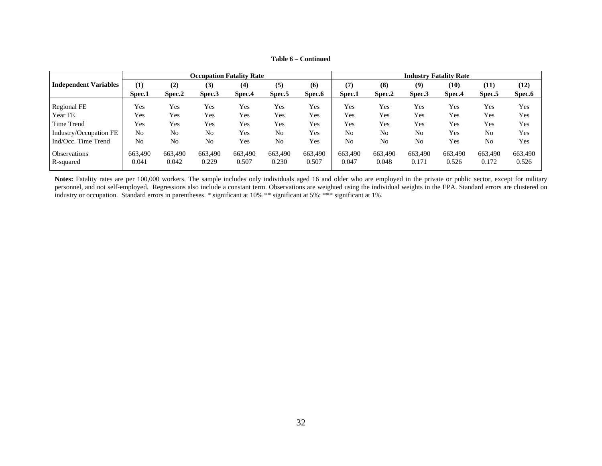|                              | <b>Occupation Fatality Rate</b> |                  |                  |                  |                  |                  | <b>Industry Fatality Rate</b> |                  |                  |                  |                  |                  |
|------------------------------|---------------------------------|------------------|------------------|------------------|------------------|------------------|-------------------------------|------------------|------------------|------------------|------------------|------------------|
| <b>Independent Variables</b> | (1)                             | (2)              | (3)              | (4)              | (5)              | (6)              | (7)                           | (8)              | (9)              | (10)             | (11)             | (12)             |
|                              | Spec.1                          | Spec.2           | Spec.3           | Spec.4           | Spec.5           | Spec.6           | Spec.1                        | Spec.2           | Spec.3           | Spec.4           | Spec.5           | Spec.6           |
| Regional FE                  | Yes                             | Yes              | Yes              | Yes              | Yes              | Yes              | Yes                           | Yes              | Yes              | Yes              | Yes              | Yes              |
| Year FE                      | Yes                             | Yes              | Yes              | Yes              | Yes              | Yes              | Yes                           | Yes              | Yes              | Yes              | Yes              | Yes              |
| Time Trend                   | Yes                             | Yes              | Yes              | Yes              | Yes              | Yes              | Yes                           | Yes              | Yes              | Yes              | Yes              | Yes              |
| Industry/Occupation FE       | No                              | No               | No               | Yes              | N <sub>0</sub>   | Yes              | No                            | N <sub>0</sub>   | No               | Yes              | N <sub>0</sub>   | Yes              |
| Ind/Occ. Time Trend          | No                              | No               | N <sub>0</sub>   | Yes              | No               | Yes              | No                            | N <sub>0</sub>   | No               | Yes              | N <sub>0</sub>   | Yes              |
| Observations<br>R-squared    | 663,490<br>0.041                | 663,490<br>0.042 | 663,490<br>0.229 | 663,490<br>0.507 | 663,490<br>0.230 | 663,490<br>0.507 | 663,490<br>0.047              | 663,490<br>0.048 | 663,490<br>0.171 | 663,490<br>0.526 | 663,490<br>0.172 | 663,490<br>0.526 |

**Table 6 – Continued** 

Notes: Fatality rates are per 100,000 workers. The sample includes only individuals aged 16 and older who are employed in the private or public sector, except for military personnel, and not self-employed. Regressions also include a constant term. Observations are weighted using the individual weights in the EPA. Standard errors are clustered on industry or occupation. Standard errors in parentheses. \* significant at 10% \*\* significant at 5%; \*\*\* significant at 1%.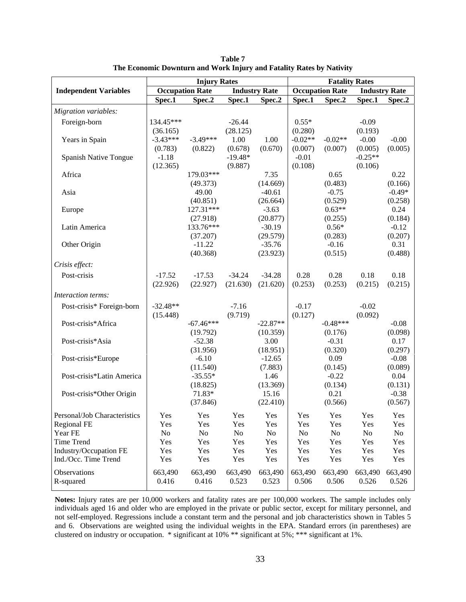|                                                |            | <b>Injury Rates</b>    |            |                      |            | <b>Fatality Rates</b>  |            |                      |
|------------------------------------------------|------------|------------------------|------------|----------------------|------------|------------------------|------------|----------------------|
| <b>Independent Variables</b>                   |            | <b>Occupation Rate</b> |            | <b>Industry Rate</b> |            | <b>Occupation Rate</b> |            | <b>Industry Rate</b> |
|                                                | Spec.1     | Spec.2                 | Spec.1     | Spec.2               | Spec.1     | Spec.2                 | Spec.1     | Spec.2               |
| Migration variables:                           |            |                        |            |                      |            |                        |            |                      |
| Foreign-born                                   | 134.45***  |                        | $-26.44$   |                      | $0.55*$    |                        | $-0.09$    |                      |
|                                                | (36.165)   |                        | (28.125)   |                      | (0.280)    |                        | (0.193)    |                      |
| Years in Spain                                 | $-3.43***$ | $-3.49***$             | 1.00       | 1.00                 | $-0.02**$  | $-0.02**$              | $-0.00$    | $-0.00$              |
|                                                | (0.783)    | (0.822)                | (0.678)    | (0.670)              | (0.007)    | (0.007)                | (0.005)    | (0.005)              |
| Spanish Native Tongue                          | $-1.18$    |                        | $-19.48*$  |                      | $-0.01$    |                        | $-0.25**$  |                      |
|                                                | (12.365)   |                        | (9.887)    |                      | (0.108)    |                        | (0.106)    |                      |
| Africa                                         |            | 179.03***<br>(49.373)  |            | 7.35<br>(14.669)     |            | 0.65<br>(0.483)        |            | 0.22<br>(0.166)      |
| Asia                                           |            | 49.00                  |            | $-40.61$             |            | $-0.75$                |            | $-0.49*$             |
|                                                |            | (40.851)               |            | (26.664)             |            | (0.529)                |            | (0.258)              |
| Europe                                         |            | 127.31***              |            | $-3.63$              |            | $0.63**$               |            | 0.24                 |
|                                                |            | (27.918)               |            | (20.877)             |            | (0.255)                |            | (0.184)              |
| Latin America                                  |            | 133.76***              |            | $-30.19$             |            | $0.56*$                |            | $-0.12$              |
|                                                |            | (37.207)               |            | (29.579)             |            | (0.283)                |            | (0.207)              |
| Other Origin                                   |            | $-11.22$               |            | $-35.76$             |            | $-0.16$                |            | 0.31                 |
|                                                |            | (40.368)               |            | (23.923)             |            | (0.515)                |            | (0.488)              |
| Crisis effect:                                 |            |                        |            |                      |            |                        |            |                      |
| Post-crisis                                    | $-17.52$   | $-17.53$               | $-34.24$   | $-34.28$             | 0.28       | 0.28                   | 0.18       | 0.18                 |
|                                                | (22.926)   | (22.927)               | (21.630)   | (21.620)             | (0.253)    | (0.253)                | (0.215)    | (0.215)              |
| Interaction terms:                             |            |                        |            |                      |            |                        |            |                      |
| Post-crisis* Foreign-born                      | $-32.48**$ |                        | $-7.16$    |                      | $-0.17$    |                        | $-0.02$    |                      |
|                                                | (15.448)   |                        | (9.719)    |                      | (0.127)    |                        | (0.092)    |                      |
| Post-crisis*Africa                             |            | $-67.46***$            |            | $-22.87**$           |            | $-0.48***$             |            | $-0.08$              |
| Post-crisis*Asia                               |            | (19.792)<br>$-52.38$   |            | (10.359)<br>3.00     |            | (0.176)<br>$-0.31$     |            | (0.098)<br>0.17      |
|                                                |            | (31.956)               |            | (18.951)             |            | (0.320)                |            | (0.297)              |
| Post-crisis*Europe                             |            | $-6.10$                |            | $-12.65$             |            | 0.09                   |            | $-0.08$              |
|                                                |            | (11.540)               |            | (7.883)              |            | (0.145)                |            | (0.089)              |
| Post-crisis*Latin America                      |            | $-35.55*$              |            | 1.46                 |            | $-0.22$                |            | 0.04                 |
|                                                |            | (18.825)               |            | (13.369)             |            | (0.134)                |            | (0.131)              |
| Post-crisis*Other Origin                       |            | 71.83*                 |            | 15.16                |            | 0.21                   |            | $-0.38$              |
|                                                |            | (37.846)               |            | (22.410)             |            | (0.566)                |            | (0.567)              |
| Personal/Job Characteristics                   | Yes        | Yes                    | Yes        | Yes                  | Yes        | Yes                    | Yes        | Yes                  |
| <b>Regional FE</b>                             | Yes        | Yes                    | Yes        | Yes                  | Yes        | Yes                    | Yes        | Yes                  |
| Year FE                                        | No         | No                     | No         | No                   | No         | No                     | No         | No                   |
| Time Trend                                     | Yes        | Yes                    | Yes        | Yes                  | Yes        | Yes                    | Yes        | Yes                  |
| Industry/Occupation FE<br>Ind./Occ. Time Trend | Yes<br>Yes | Yes<br>Yes             | Yes<br>Yes | Yes<br>Yes           | Yes<br>Yes | Yes<br>Yes             | Yes<br>Yes | Yes<br>Yes           |
|                                                |            |                        |            |                      |            |                        |            |                      |
| Observations                                   | 663,490    | 663,490                | 663,490    | 663,490              | 663,490    | 663,490                | 663,490    | 663,490              |
| R-squared                                      | 0.416      | 0.416                  | 0.523      | 0.523                | 0.506      | 0.506                  | 0.526      | 0.526                |

**Table 7 The Economic Downturn and Work Injury and Fatality Rates by Nativity** 

**Notes:** Injury rates are per 10,000 workers and fatality rates are per 100,000 workers. The sample includes only individuals aged 16 and older who are employed in the private or public sector, except for military personnel, and not self-employed. Regressions include a constant term and the personal and job characteristics shown in Tables 5 and 6. Observations are weighted using the individual weights in the EPA. Standard errors (in parentheses) are clustered on industry or occupation. \* significant at 10% \*\* significant at 5%; \*\*\* significant at 1%.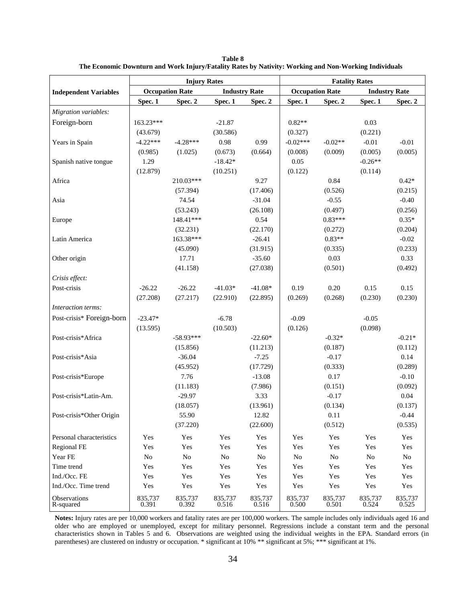|                              |                  | <b>Injury Rates</b>    |                  |                      |                  |                        | <b>Fatality Rates</b> |                      |
|------------------------------|------------------|------------------------|------------------|----------------------|------------------|------------------------|-----------------------|----------------------|
| <b>Independent Variables</b> |                  | <b>Occupation Rate</b> |                  | <b>Industry Rate</b> |                  | <b>Occupation Rate</b> |                       | <b>Industry Rate</b> |
|                              | Spec. 1          | Spec. 2                | Spec. 1          | Spec. 2              | Spec. 1          | Spec. 2                | Spec. 1               | Spec. 2              |
| Migration variables:         |                  |                        |                  |                      |                  |                        |                       |                      |
| Foreign-born                 | 163.23***        |                        | $-21.87$         |                      | $0.82**$         |                        | 0.03                  |                      |
|                              | (43.679)         |                        | (30.586)         |                      | (0.327)          |                        | (0.221)               |                      |
| Years in Spain               | $-4.22***$       | $-4.28***$             | 0.98             | 0.99                 | $-0.02***$       | $-0.02**$              | $-0.01$               | $-0.01$              |
|                              | (0.985)          | (1.025)                | (0.673)          | (0.664)              | (0.008)          | (0.009)                | (0.005)               | (0.005)              |
| Spanish native tongue        | 1.29             |                        | $-18.42*$        |                      | 0.05             |                        | $-0.26**$             |                      |
|                              | (12.879)         |                        | (10.251)         |                      | (0.122)          |                        | (0.114)               |                      |
| Africa                       |                  | 210.03***              |                  | 9.27                 |                  | 0.84                   |                       | $0.42*$              |
|                              |                  | (57.394)               |                  | (17.406)             |                  | (0.526)                |                       | (0.215)              |
| Asia                         |                  | 74.54                  |                  | $-31.04$             |                  | $-0.55$                |                       | $-0.40$              |
|                              |                  | (53.243)               |                  | (26.108)             |                  | (0.497)                |                       | (0.256)              |
| Europe                       |                  | 148.41***              |                  | 0.54                 |                  | $0.83***$              |                       | $0.35*$              |
|                              |                  | (32.231)               |                  | (22.170)             |                  | (0.272)                |                       | (0.204)              |
| Latin America                |                  | 163.38***              |                  | $-26.41$             |                  | $0.83**$               |                       | $-0.02$              |
|                              |                  | (45.090)               |                  | (31.915)             |                  | (0.335)                |                       | (0.233)              |
| Other origin                 |                  | 17.71                  |                  | $-35.60$             |                  | 0.03                   |                       | 0.33                 |
|                              |                  | (41.158)               |                  | (27.038)             |                  | (0.501)                |                       | (0.492)              |
| Crisis effect:               |                  |                        |                  |                      |                  |                        |                       |                      |
| Post-crisis                  | $-26.22$         | $-26.22$               | $-41.03*$        | $-41.08*$            | 0.19             | 0.20                   | 0.15                  | 0.15                 |
|                              | (27.208)         | (27.217)               | (22.910)         | (22.895)             | (0.269)          | (0.268)                | (0.230)               | (0.230)              |
| Interaction terms:           |                  |                        |                  |                      |                  |                        |                       |                      |
| Post-crisis* Foreign-born    | $-23.47*$        |                        | $-6.78$          |                      | $-0.09$          |                        | $-0.05$               |                      |
|                              | (13.595)         |                        | (10.503)         |                      | (0.126)          |                        | (0.098)               |                      |
| Post-crisis*Africa           |                  | $-58.93***$            |                  | $-22.60*$            |                  | $-0.32*$               |                       | $-0.21*$             |
|                              |                  | (15.856)               |                  | (11.213)             |                  | (0.187)                |                       | (0.112)              |
| Post-crisis*Asia             |                  | $-36.04$               |                  | $-7.25$              |                  | $-0.17$                |                       | 0.14                 |
|                              |                  | (45.952)               |                  | (17.729)             |                  | (0.333)                |                       | (0.289)              |
| Post-crisis*Europe           |                  | 7.76                   |                  | $-13.08$             |                  | 0.17                   |                       | $-0.10$              |
|                              |                  | (11.183)               |                  | (7.986)              |                  | (0.151)                |                       | (0.092)              |
| Post-crisis*Latin-Am.        |                  | $-29.97$               |                  | 3.33                 |                  | $-0.17$                |                       | 0.04                 |
|                              |                  | (18.057)               |                  | (13.961)             |                  | (0.134)                |                       | (0.137)              |
| Post-crisis*Other Origin     |                  | 55.90                  |                  | 12.82                |                  | 0.11                   |                       | $-0.44$<br>(0.535)   |
|                              |                  | (37.220)               |                  | (22.600)             |                  | (0.512)                |                       |                      |
| Personal characteristics     | Yes              | Yes                    | Yes              | Yes                  | Yes              | Yes                    | Yes                   | Yes                  |
| Regional FE                  | Yes              | Yes                    | Yes              | Yes                  | Yes              | Yes                    | Yes                   | Yes                  |
| Year FE                      | N <sub>o</sub>   | No                     | No               | $\rm No$             | No               | No                     | $\rm No$              | No                   |
| Time trend                   | Yes              | Yes                    | Yes              | Yes                  | Yes              | Yes                    | Yes                   | Yes                  |
| Ind./Occ. FE                 | Yes              | Yes                    | Yes              | Yes                  | Yes              | Yes                    | Yes                   | Yes                  |
| Ind./Occ. Time trend         | Yes              | Yes                    | Yes              | Yes                  | Yes              | Yes                    | Yes                   | Yes                  |
| Observations<br>R-squared    | 835,737<br>0.391 | 835,737<br>0.392       | 835,737<br>0.516 | 835,737<br>0.516     | 835,737<br>0.500 | 835,737<br>0.501       | 835,737<br>0.524      | 835,737<br>0.525     |

**Table 8 The Economic Downturn and Work Injury/Fatality Rates by Nativity: Working and Non-Working Individuals** 

**Notes:** Injury rates are per 10,000 workers and fatality rates are per 100,000 workers. The sample includes only individuals aged 16 and older who are employed or unemployed, except for military personnel. Regressions include a constant term and the personal characteristics shown in Tables 5 and 6. Observations are weighted using the individual weights in the EPA. Standard errors (in parentheses) are clustered on industry or occupation. \* significant at 10% \*\* significant at 5%; \*\*\* significant at 1%.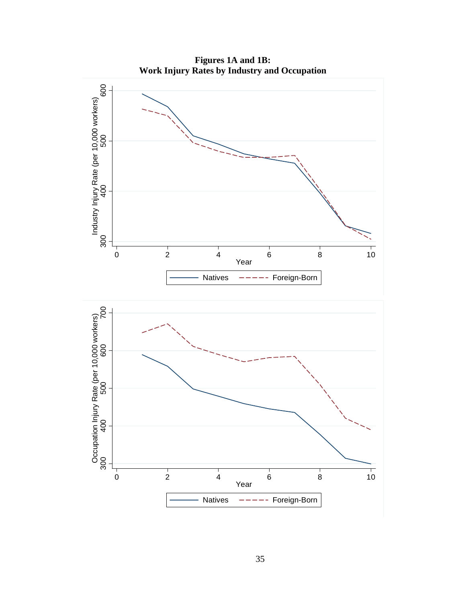**Figures 1A and 1B: Work Injury Rates by Industry and Occupation** 

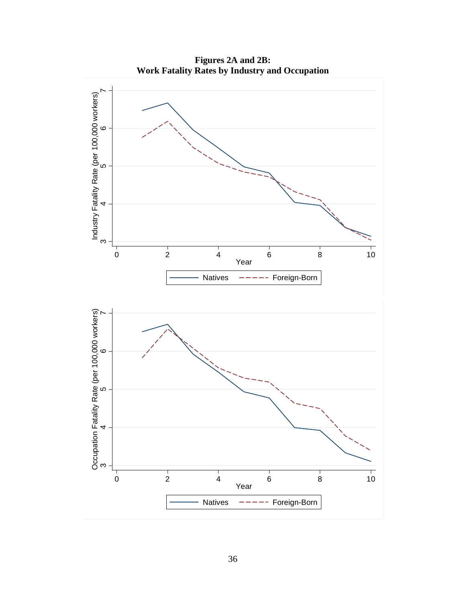**Figures 2A and 2B: Work Fatality Rates by Industry and Occupation** 

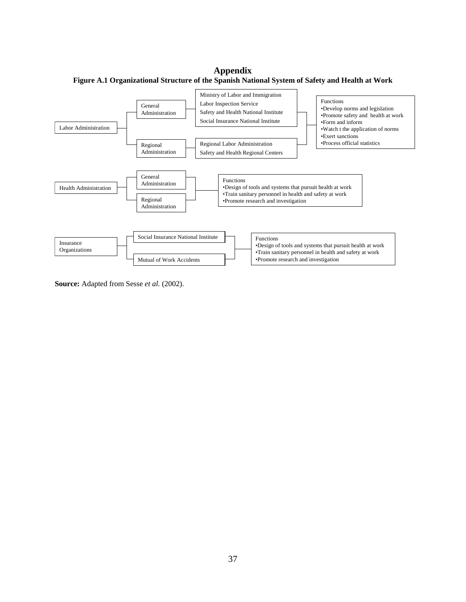**Appendix Figure A.1 Organizational Structure of the Spanish National System of Safety and Health at Work** 



**Source:** Adapted from Sesse *et al.* (2002).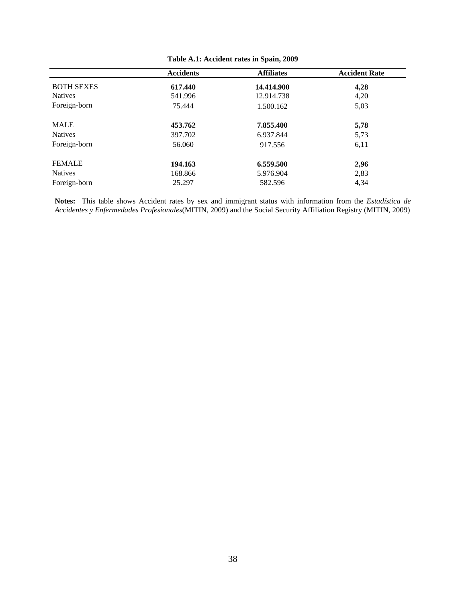|                   | <b>Accidents</b> | <b>Affiliates</b> | <b>Accident Rate</b> |
|-------------------|------------------|-------------------|----------------------|
| <b>BOTH SEXES</b> | 617.440          | 14.414.900        | 4,28                 |
| <b>Natives</b>    | 541.996          | 12.914.738        | 4,20                 |
| Foreign-born      | 75.444           | 1.500.162         | 5,03                 |
| <b>MALE</b>       | 453.762          | 7.855.400         | 5,78                 |
| <b>Natives</b>    | 397.702          | 6.937.844         | 5,73                 |
| Foreign-born      | 56.060           | 917.556           | 6,11                 |
| <b>FEMALE</b>     | 194.163          | 6.559.500         | 2,96                 |
| <b>Natives</b>    | 168.866          | 5.976.904         | 2,83                 |
| Foreign-born      | 25.297           | 582.596           | 4,34                 |

| Table A.1: Accident rates in Spain, 2009 |
|------------------------------------------|
|------------------------------------------|

**Notes:** This table shows Accident rates by sex and immigrant status with information from the *Estadística de Accidentes y Enfermedades Profesionales*(MITIN, 2009) and the Social Security Affiliation Registry (MITIN, 2009)